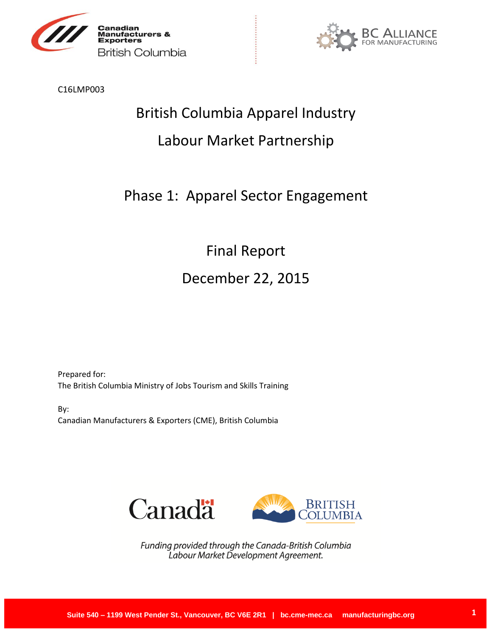



C16LMP003

# British Columbia Apparel Industry

# Labour Market Partnership

# Phase 1: Apparel Sector Engagement

Final Report December 22, 2015

Prepared for: The British Columbia Ministry of Jobs Tourism and Skills Training

By: Canadian Manufacturers & Exporters (CME), British Columbia



Funding provided through the Canada-British Columbia Labour Market Development Agreement.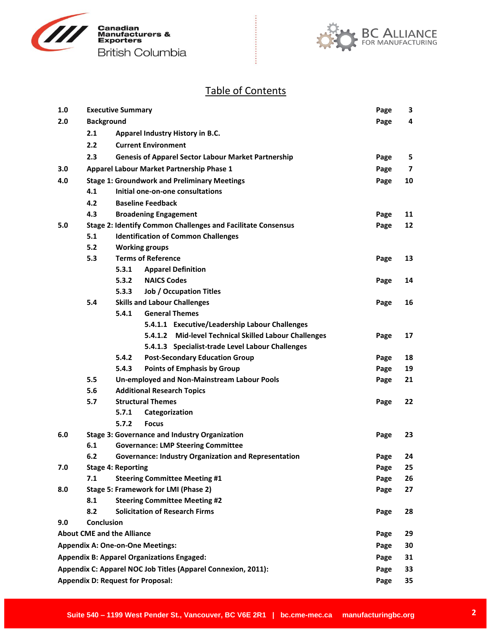



# Table of Contents

| 1.0                                                           |                                          | <b>Executive Summary</b>                                            | Page | 3  |
|---------------------------------------------------------------|------------------------------------------|---------------------------------------------------------------------|------|----|
| 2.0                                                           | <b>Background</b>                        |                                                                     | Page | 4  |
|                                                               | 2.1                                      | Apparel Industry History in B.C.                                    |      |    |
|                                                               | 2.2                                      | <b>Current Environment</b>                                          |      |    |
|                                                               | 2.3                                      | <b>Genesis of Apparel Sector Labour Market Partnership</b>          | Page | 5  |
| 3.0                                                           |                                          | Apparel Labour Market Partnership Phase 1                           | Page | 7  |
| 4.0                                                           |                                          | <b>Stage 1: Groundwork and Preliminary Meetings</b>                 | Page | 10 |
|                                                               | 4.1                                      | Initial one-on-one consultations                                    |      |    |
|                                                               | 4.2                                      | <b>Baseline Feedback</b>                                            |      |    |
|                                                               | 4.3                                      | <b>Broadening Engagement</b>                                        | Page | 11 |
| 5.0                                                           |                                          | <b>Stage 2: Identify Common Challenges and Facilitate Consensus</b> | Page | 12 |
|                                                               | 5.1                                      | <b>Identification of Common Challenges</b>                          |      |    |
|                                                               | 5.2                                      | <b>Working groups</b>                                               |      |    |
|                                                               | 5.3                                      | <b>Terms of Reference</b>                                           | Page | 13 |
|                                                               |                                          | 5.3.1<br><b>Apparel Definition</b>                                  |      |    |
|                                                               |                                          | <b>NAICS Codes</b><br>5.3.2                                         | Page | 14 |
|                                                               |                                          | 5.3.3<br><b>Job / Occupation Titles</b>                             |      |    |
|                                                               | 5.4                                      | <b>Skills and Labour Challenges</b>                                 | Page | 16 |
|                                                               |                                          | 5.4.1<br><b>General Themes</b>                                      |      |    |
|                                                               |                                          | 5.4.1.1 Executive/Leadership Labour Challenges                      |      |    |
|                                                               |                                          | 5.4.1.2 Mid-level Technical Skilled Labour Challenges               | Page | 17 |
|                                                               |                                          | 5.4.1.3 Specialist-trade Level Labour Challenges                    |      |    |
|                                                               |                                          | 5.4.2<br><b>Post-Secondary Education Group</b>                      | Page | 18 |
|                                                               |                                          | <b>Points of Emphasis by Group</b><br>5.4.3                         | Page | 19 |
|                                                               | 5.5                                      | Un-employed and Non-Mainstream Labour Pools                         | Page | 21 |
|                                                               | 5.6<br>5.7                               | <b>Additional Research Topics</b><br><b>Structural Themes</b>       |      | 22 |
|                                                               |                                          | 5.7.1<br>Categorization                                             | Page |    |
|                                                               |                                          | 5.7.2<br><b>Focus</b>                                               |      |    |
| 6.0                                                           |                                          | <b>Stage 3: Governance and Industry Organization</b>                | Page | 23 |
|                                                               | 6.1                                      | <b>Governance: LMP Steering Committee</b>                           |      |    |
|                                                               | 6.2                                      | <b>Governance: Industry Organization and Representation</b>         | Page | 24 |
| 7.0                                                           |                                          | <b>Stage 4: Reporting</b>                                           | Page | 25 |
|                                                               | 7.1                                      | <b>Steering Committee Meeting #1</b>                                | Page | 26 |
| 8.0                                                           |                                          | Stage 5: Framework for LMI (Phase 2)                                | Page | 27 |
|                                                               | 8.1                                      | <b>Steering Committee Meeting #2</b>                                |      |    |
|                                                               | 8.2                                      | <b>Solicitation of Research Firms</b>                               | Page | 28 |
| 9.0                                                           | Conclusion                               |                                                                     |      |    |
|                                                               |                                          | <b>About CME and the Alliance</b>                                   | Page | 29 |
|                                                               |                                          | <b>Appendix A: One-on-One Meetings:</b>                             | Page | 30 |
|                                                               |                                          | <b>Appendix B: Apparel Organizations Engaged:</b>                   | Page | 31 |
| Appendix C: Apparel NOC Job Titles (Apparel Connexion, 2011): |                                          |                                                                     | Page | 33 |
|                                                               | <b>Appendix D: Request for Proposal:</b> |                                                                     |      | 35 |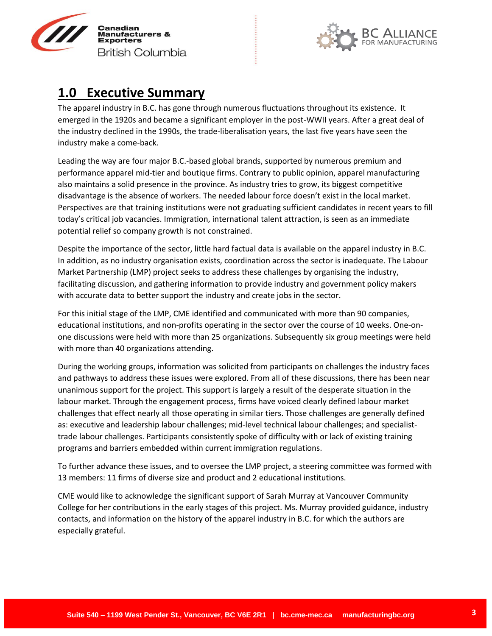



# **1.0 Executive Summary**

The apparel industry in B.C. has gone through numerous fluctuations throughout its existence. It emerged in the 1920s and became a significant employer in the post-WWII years. After a great deal of the industry declined in the 1990s, the trade-liberalisation years, the last five years have seen the industry make a come-back.

Leading the way are four major B.C.-based global brands, supported by numerous premium and performance apparel mid-tier and boutique firms. Contrary to public opinion, apparel manufacturing also maintains a solid presence in the province. As industry tries to grow, its biggest competitive disadvantage is the absence of workers. The needed labour force doesn't exist in the local market. Perspectives are that training institutions were not graduating sufficient candidates in recent years to fill today's critical job vacancies. Immigration, international talent attraction, is seen as an immediate potential relief so company growth is not constrained.

Despite the importance of the sector, little hard factual data is available on the apparel industry in B.C. In addition, as no industry organisation exists, coordination across the sector is inadequate. The Labour Market Partnership (LMP) project seeks to address these challenges by organising the industry, facilitating discussion, and gathering information to provide industry and government policy makers with accurate data to better support the industry and create jobs in the sector.

For this initial stage of the LMP, CME identified and communicated with more than 90 companies, educational institutions, and non-profits operating in the sector over the course of 10 weeks. One-onone discussions were held with more than 25 organizations. Subsequently six group meetings were held with more than 40 organizations attending.

During the working groups, information was solicited from participants on challenges the industry faces and pathways to address these issues were explored. From all of these discussions, there has been near unanimous support for the project. This support is largely a result of the desperate situation in the labour market. Through the engagement process, firms have voiced clearly defined labour market challenges that effect nearly all those operating in similar tiers. Those challenges are generally defined as: executive and leadership labour challenges; mid-level technical labour challenges; and specialisttrade labour challenges. Participants consistently spoke of difficulty with or lack of existing training programs and barriers embedded within current immigration regulations.

To further advance these issues, and to oversee the LMP project, a steering committee was formed with 13 members: 11 firms of diverse size and product and 2 educational institutions.

CME would like to acknowledge the significant support of Sarah Murray at Vancouver Community College for her contributions in the early stages of this project. Ms. Murray provided guidance, industry contacts, and information on the history of the apparel industry in B.C. for which the authors are especially grateful.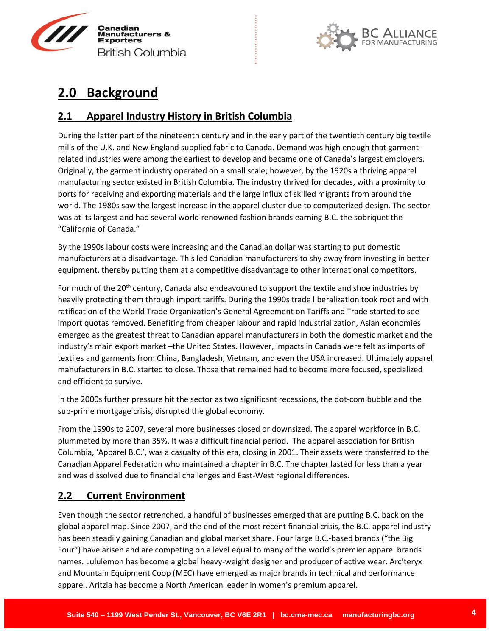



# **2.0 Background**

## **2.1 Apparel Industry History in British Columbia**

During the latter part of the nineteenth century and in the early part of the twentieth century big textile mills of the U.K. and New England supplied fabric to Canada. Demand was high enough that garmentrelated industries were among the earliest to develop and became one of Canada's largest employers. Originally, the garment industry operated on a small scale; however, by the 1920s a thriving apparel manufacturing sector existed in British Columbia. The industry thrived for decades, with a proximity to ports for receiving and exporting materials and the large influx of skilled migrants from around the world. The 1980s saw the largest increase in the apparel cluster due to computerized design. The sector was at its largest and had several world renowned fashion brands earning B.C. the sobriquet the "California of Canada."

By the 1990s labour costs were increasing and the Canadian dollar was starting to put domestic manufacturers at a disadvantage. This led Canadian manufacturers to shy away from investing in better equipment, thereby putting them at a competitive disadvantage to other international competitors.

For much of the 20<sup>th</sup> century, Canada also endeavoured to support the textile and shoe industries by heavily protecting them through import tariffs. During the 1990s trade liberalization took root and with ratification of the World Trade Organization's General Agreement on Tariffs and Trade started to see import quotas removed. Benefiting from cheaper labour and rapid industrialization, Asian economies emerged as the greatest threat to Canadian apparel manufacturers in both the domestic market and the industry's main export market –the United States. However, impacts in Canada were felt as imports of textiles and garments from China, Bangladesh, Vietnam, and even the USA increased. Ultimately apparel manufacturers in B.C. started to close. Those that remained had to become more focused, specialized and efficient to survive.

In the 2000s further pressure hit the sector as two significant recessions, the dot-com bubble and the sub-prime mortgage crisis, disrupted the global economy.

From the 1990s to 2007, several more businesses closed or downsized. The apparel workforce in B.C. plummeted by more than 35%. It was a difficult financial period. The apparel association for British Columbia, 'Apparel B.C.', was a casualty of this era, closing in 2001. Their assets were transferred to the Canadian Apparel Federation who maintained a chapter in B.C. The chapter lasted for less than a year and was dissolved due to financial challenges and East-West regional differences.

# **2.2 Current Environment**

Even though the sector retrenched, a handful of businesses emerged that are putting B.C. back on the global apparel map. Since 2007, and the end of the most recent financial crisis, the B.C. apparel industry has been steadily gaining Canadian and global market share. Four large B.C.-based brands ("the Big Four") have arisen and are competing on a level equal to many of the world's premier apparel brands names. Lululemon has become a global heavy-weight designer and producer of active wear. Arc'teryx and Mountain Equipment Coop (MEC) have emerged as major brands in technical and performance apparel. Aritzia has become a North American leader in women's premium apparel.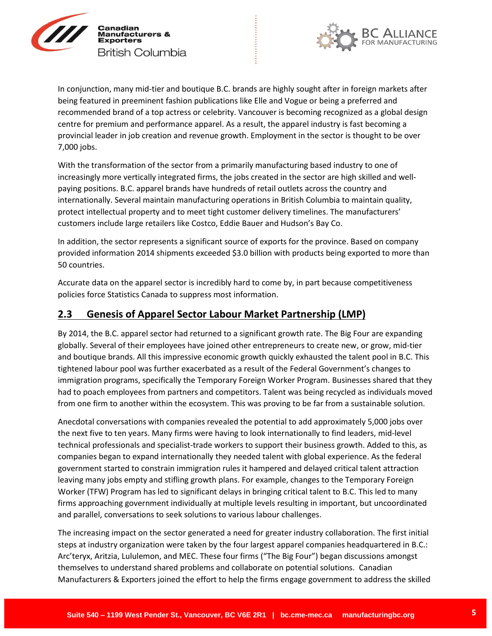



In conjunction, many mid-tier and boutique B.C. brands are highly sought after in foreign markets after being featured in preeminent fashion publications like Elle and Vogue or being a preferred and recommended brand of a top actress or celebrity. Vancouver is becoming recognized as a global design centre for premium and performance apparel. As a result, the apparel industry is fast becoming a provincial leader in job creation and revenue growth. Employment in the sector is thought to be over 7,000 jobs.

With the transformation of the sector from a primarily manufacturing based industry to one of increasingly more vertically integrated firms, the jobs created in the sector are high skilled and wellpaying positions. B.C. apparel brands have hundreds of retail outlets across the country and internationally. Several maintain manufacturing operations in British Columbia to maintain quality, protect intellectual property and to meet tight customer delivery timelines. The manufacturers' customers include large retailers like Costco, Eddie Bauer and Hudson's Bay Co.

In addition, the sector represents a significant source of exports for the province. Based on company provided information 2014 shipments exceeded \$3.0 billion with products being exported to more than 50 countries.

Accurate data on the apparel sector is incredibly hard to come by, in part because competitiveness policies force Statistics Canada to suppress most information.

## **2.3 Genesis of Apparel Sector Labour Market Partnership (LMP)**

By 2014, the B.C. apparel sector had returned to a significant growth rate. The Big Four are expanding globally. Several of their employees have joined other entrepreneurs to create new, or grow, mid-tier and boutique brands. All this impressive economic growth quickly exhausted the talent pool in B.C. This tightened labour pool was further exacerbated as a result of the Federal Government's changes to immigration programs, specifically the Temporary Foreign Worker Program. Businesses shared that they had to poach employees from partners and competitors. Talent was being recycled as individuals moved from one firm to another within the ecosystem. This was proving to be far from a sustainable solution.

Anecdotal conversations with companies revealed the potential to add approximately 5,000 jobs over the next five to ten years. Many firms were having to look internationally to find leaders, mid-level technical professionals and specialist-trade workers to support their business growth. Added to this, as companies began to expand internationally they needed talent with global experience. As the federal government started to constrain immigration rules it hampered and delayed critical talent attraction leaving many jobs empty and stifling growth plans. For example, changes to the Temporary Foreign Worker (TFW) Program has led to significant delays in bringing critical talent to B.C. This led to many firms approaching government individually at multiple levels resulting in important, but uncoordinated and parallel, conversations to seek solutions to various labour challenges.

The increasing impact on the sector generated a need for greater industry collaboration. The first initial steps at industry organization were taken by the four largest apparel companies headquartered in B.C.: Arc'teryx, Aritzia, Lululemon, and MEC. These four firms ("The Big Four") began discussions amongst themselves to understand shared problems and collaborate on potential solutions. Canadian Manufacturers & Exporters joined the effort to help the firms engage government to address the skilled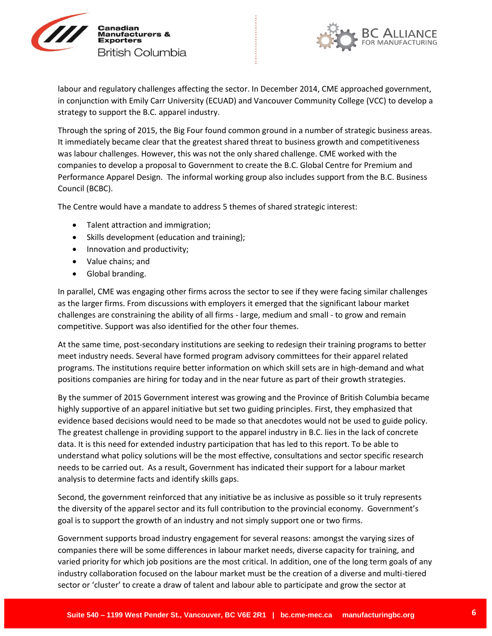



labour and regulatory challenges affecting the sector. In December 2014, CME approached government, in conjunction with Emily Carr University (ECUAD) and Vancouver Community College (VCC) to develop a strategy to support the B.C. apparel industry.

Through the spring of 2015, the Big Four found common ground in a number of strategic business areas. It immediately became clear that the greatest shared threat to business growth and competitiveness was labour challenges. However, this was not the only shared challenge. CME worked with the companies to develop a proposal to Government to create the B.C. Global Centre for Premium and Performance Apparel Design. The informal working group also includes support from the B.C. Business Council (BCBC).

The Centre would have a mandate to address 5 themes of shared strategic interest:

- Talent attraction and immigration;
- Skills development (education and training);
- Innovation and productivity;
- Value chains; and
- Global branding.

In parallel, CME was engaging other firms across the sector to see if they were facing similar challenges as the larger firms. From discussions with employers it emerged that the significant labour market challenges are constraining the ability of all firms - large, medium and small - to grow and remain competitive. Support was also identified for the other four themes.

At the same time, post-secondary institutions are seeking to redesign their training programs to better meet industry needs. Several have formed program advisory committees for their apparel related programs. The institutions require better information on which skill sets are in high-demand and what positions companies are hiring for today and in the near future as part of their growth strategies.

By the summer of 2015 Government interest was growing and the Province of British Columbia became highly supportive of an apparel initiative but set two guiding principles. First, they emphasized that evidence based decisions would need to be made so that anecdotes would not be used to guide policy. The greatest challenge in providing support to the apparel industry in B.C. lies in the lack of concrete data. It is this need for extended industry participation that has led to this report. To be able to understand what policy solutions will be the most effective, consultations and sector specific research needs to be carried out. As a result, Government has indicated their support for a labour market analysis to determine facts and identify skills gaps.

Second, the government reinforced that any initiative be as inclusive as possible so it truly represents the diversity of the apparel sector and its full contribution to the provincial economy. Government's goal is to support the growth of an industry and not simply support one or two firms.

Government supports broad industry engagement for several reasons: amongst the varying sizes of companies there will be some differences in labour market needs, diverse capacity for training, and varied priority for which job positions are the most critical. In addition, one of the long term goals of any industry collaboration focused on the labour market must be the creation of a diverse and multi-tiered sector or 'cluster' to create a draw of talent and labour able to participate and grow the sector at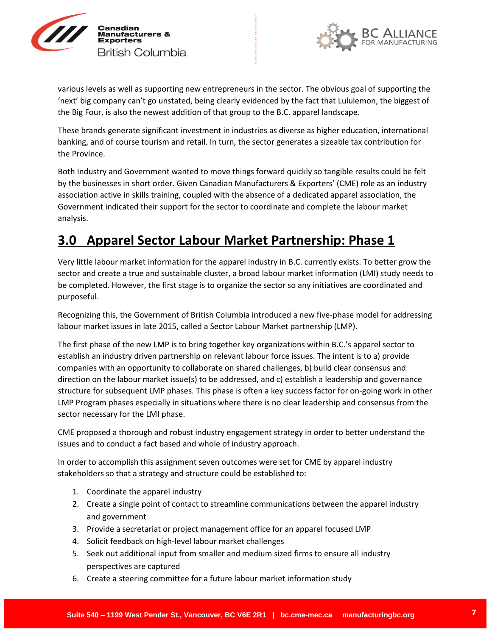



various levels as well as supporting new entrepreneurs in the sector. The obvious goal of supporting the 'next' big company can't go unstated, being clearly evidenced by the fact that Lululemon, the biggest of the Big Four, is also the newest addition of that group to the B.C. apparel landscape.

These brands generate significant investment in industries as diverse as higher education, international banking, and of course tourism and retail. In turn, the sector generates a sizeable tax contribution for the Province.

Both Industry and Government wanted to move things forward quickly so tangible results could be felt by the businesses in short order. Given Canadian Manufacturers & Exporters' (CME) role as an industry association active in skills training, coupled with the absence of a dedicated apparel association, the Government indicated their support for the sector to coordinate and complete the labour market analysis.

# **3.0 Apparel Sector Labour Market Partnership: Phase 1**

Very little labour market information for the apparel industry in B.C. currently exists. To better grow the sector and create a true and sustainable cluster, a broad labour market information (LMI) study needs to be completed. However, the first stage is to organize the sector so any initiatives are coordinated and purposeful.

Recognizing this, the Government of British Columbia introduced a new five-phase model for addressing labour market issues in late 2015, called a Sector Labour Market partnership (LMP).

The first phase of the new LMP is to bring together key organizations within B.C.'s apparel sector to establish an industry driven partnership on relevant labour force issues. The intent is to a) provide companies with an opportunity to collaborate on shared challenges, b) build clear consensus and direction on the labour market issue(s) to be addressed, and c) establish a leadership and governance structure for subsequent LMP phases. This phase is often a key success factor for on-going work in other LMP Program phases especially in situations where there is no clear leadership and consensus from the sector necessary for the LMI phase.

CME proposed a thorough and robust industry engagement strategy in order to better understand the issues and to conduct a fact based and whole of industry approach.

In order to accomplish this assignment seven outcomes were set for CME by apparel industry stakeholders so that a strategy and structure could be established to:

- 1. Coordinate the apparel industry
- 2. Create a single point of contact to streamline communications between the apparel industry and government
- 3. Provide a secretariat or project management office for an apparel focused LMP
- 4. Solicit feedback on high-level labour market challenges
- 5. Seek out additional input from smaller and medium sized firms to ensure all industry perspectives are captured
- 6. Create a steering committee for a future labour market information study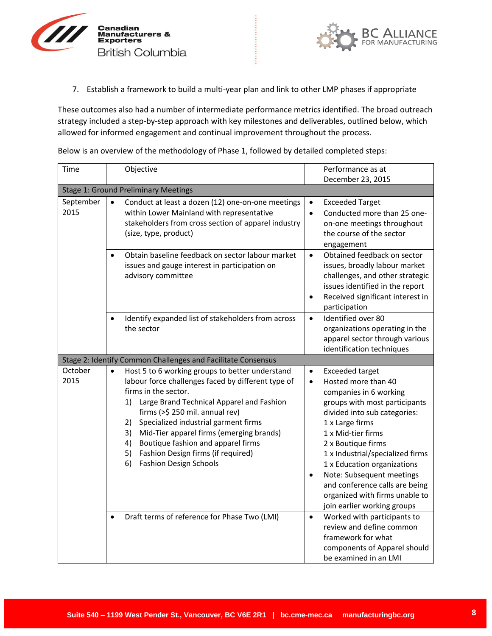



7. Establish a framework to build a multi-year plan and link to other LMP phases if appropriate

These outcomes also had a number of intermediate performance metrics identified. The broad outreach strategy included a step-by-step approach with key milestones and deliverables, outlined below, which allowed for informed engagement and continual improvement throughout the process.

Below is an overview of the methodology of Phase 1, followed by detailed completed steps:

| Time              | Objective                                                                                                                                                                                                                                                                                                                                                                                                                                          | Performance as at                                                                                                                                                                                                                                                                                                                                                                                                                                 |  |  |  |  |
|-------------------|----------------------------------------------------------------------------------------------------------------------------------------------------------------------------------------------------------------------------------------------------------------------------------------------------------------------------------------------------------------------------------------------------------------------------------------------------|---------------------------------------------------------------------------------------------------------------------------------------------------------------------------------------------------------------------------------------------------------------------------------------------------------------------------------------------------------------------------------------------------------------------------------------------------|--|--|--|--|
|                   |                                                                                                                                                                                                                                                                                                                                                                                                                                                    | December 23, 2015                                                                                                                                                                                                                                                                                                                                                                                                                                 |  |  |  |  |
|                   | <b>Stage 1: Ground Preliminary Meetings</b>                                                                                                                                                                                                                                                                                                                                                                                                        |                                                                                                                                                                                                                                                                                                                                                                                                                                                   |  |  |  |  |
| September<br>2015 | Conduct at least a dozen (12) one-on-one meetings<br>$\bullet$<br>within Lower Mainland with representative<br>stakeholders from cross section of apparel industry<br>(size, type, product)                                                                                                                                                                                                                                                        | <b>Exceeded Target</b><br>$\bullet$<br>Conducted more than 25 one-<br>$\bullet$<br>on-one meetings throughout<br>the course of the sector<br>engagement                                                                                                                                                                                                                                                                                           |  |  |  |  |
|                   | Obtain baseline feedback on sector labour market<br>issues and gauge interest in participation on<br>advisory committee                                                                                                                                                                                                                                                                                                                            | Obtained feedback on sector<br>$\bullet$<br>issues, broadly labour market<br>challenges, and other strategic<br>issues identified in the report<br>Received significant interest in<br>$\bullet$<br>participation                                                                                                                                                                                                                                 |  |  |  |  |
|                   | Identify expanded list of stakeholders from across<br>the sector                                                                                                                                                                                                                                                                                                                                                                                   | Identified over 80<br>$\bullet$<br>organizations operating in the<br>apparel sector through various<br>identification techniques                                                                                                                                                                                                                                                                                                                  |  |  |  |  |
|                   | Stage 2: Identify Common Challenges and Facilitate Consensus                                                                                                                                                                                                                                                                                                                                                                                       |                                                                                                                                                                                                                                                                                                                                                                                                                                                   |  |  |  |  |
| October<br>2015   | Host 5 to 6 working groups to better understand<br>labour force challenges faced by different type of<br>firms in the sector.<br>Large Brand Technical Apparel and Fashion<br>1)<br>firms (>\$ 250 mil. annual rev)<br>Specialized industrial garment firms<br>2)<br>Mid-Tier apparel firms (emerging brands)<br>3)<br>Boutique fashion and apparel firms<br>4)<br>5)<br>Fashion Design firms (if required)<br>6)<br><b>Fashion Design Schools</b> | <b>Exceeded target</b><br>$\bullet$<br>Hosted more than 40<br>$\bullet$<br>companies in 6 working<br>groups with most participants<br>divided into sub categories:<br>1 x Large firms<br>1 x Mid-tier firms<br>2 x Boutique firms<br>1 x Industrial/specialized firms<br>1 x Education organizations<br>Note: Subsequent meetings<br>$\bullet$<br>and conference calls are being<br>organized with firms unable to<br>join earlier working groups |  |  |  |  |
|                   | Draft terms of reference for Phase Two (LMI)                                                                                                                                                                                                                                                                                                                                                                                                       | Worked with participants to<br>$\bullet$<br>review and define common<br>framework for what<br>components of Apparel should<br>be examined in an LMI                                                                                                                                                                                                                                                                                               |  |  |  |  |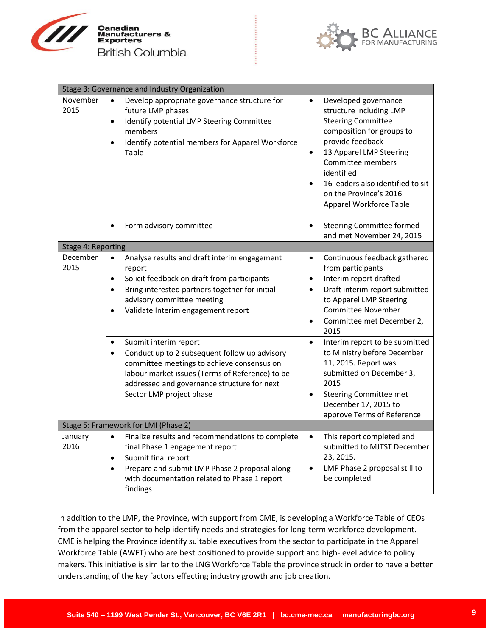



| Stage 3: Governance and Industry Organization |                                                                                                                                                                                                                                                                                 |                                                                                                                                                                                                                                                                                                                              |  |  |  |
|-----------------------------------------------|---------------------------------------------------------------------------------------------------------------------------------------------------------------------------------------------------------------------------------------------------------------------------------|------------------------------------------------------------------------------------------------------------------------------------------------------------------------------------------------------------------------------------------------------------------------------------------------------------------------------|--|--|--|
| November<br>2015                              | Develop appropriate governance structure for<br>$\bullet$<br>future LMP phases<br>Identify potential LMP Steering Committee<br>$\bullet$<br>members<br>Identify potential members for Apparel Workforce<br>$\bullet$<br>Table                                                   | Developed governance<br>$\bullet$<br>structure including LMP<br><b>Steering Committee</b><br>composition for groups to<br>provide feedback<br>13 Apparel LMP Steering<br>$\bullet$<br>Committee members<br>identified<br>16 leaders also identified to sit<br>$\bullet$<br>on the Province's 2016<br>Apparel Workforce Table |  |  |  |
|                                               | Form advisory committee<br>$\bullet$                                                                                                                                                                                                                                            | <b>Steering Committee formed</b><br>$\bullet$<br>and met November 24, 2015                                                                                                                                                                                                                                                   |  |  |  |
| Stage 4: Reporting                            |                                                                                                                                                                                                                                                                                 |                                                                                                                                                                                                                                                                                                                              |  |  |  |
| December<br>2015                              | Analyse results and draft interim engagement<br>$\bullet$<br>report<br>Solicit feedback on draft from participants<br>$\bullet$<br>Bring interested partners together for initial<br>$\bullet$<br>advisory committee meeting<br>Validate Interim engagement report<br>$\bullet$ | Continuous feedback gathered<br>$\bullet$<br>from participants<br>Interim report drafted<br>$\bullet$<br>Draft interim report submitted<br>$\bullet$<br>to Apparel LMP Steering<br><b>Committee November</b><br>Committee met December 2,<br>$\bullet$<br>2015                                                               |  |  |  |
|                                               | Submit interim report<br>Conduct up to 2 subsequent follow up advisory<br>$\bullet$<br>committee meetings to achieve consensus on<br>labour market issues (Terms of Reference) to be<br>addressed and governance structure for next<br>Sector LMP project phase                 | Interim report to be submitted<br>$\bullet$<br>to Ministry before December<br>11, 2015. Report was<br>submitted on December 3,<br>2015<br>Steering Committee met<br>$\bullet$<br>December 17, 2015 to<br>approve Terms of Reference                                                                                          |  |  |  |
|                                               | Stage 5: Framework for LMI (Phase 2)                                                                                                                                                                                                                                            |                                                                                                                                                                                                                                                                                                                              |  |  |  |
| January<br>2016                               | Finalize results and recommendations to complete<br>$\bullet$<br>final Phase 1 engagement report.<br>Submit final report<br>$\bullet$<br>Prepare and submit LMP Phase 2 proposal along<br>with documentation related to Phase 1 report<br>findings                              | This report completed and<br>$\bullet$<br>submitted to MJTST December<br>23, 2015.<br>LMP Phase 2 proposal still to<br>٠<br>be completed                                                                                                                                                                                     |  |  |  |

In addition to the LMP, the Province, with support from CME, is developing a Workforce Table of CEOs from the apparel sector to help identify needs and strategies for long-term workforce development. CME is helping the Province identify suitable executives from the sector to participate in the Apparel Workforce Table (AWFT) who are best positioned to provide support and high-level advice to policy makers. This initiative is similar to the LNG Workforce Table the province struck in order to have a better understanding of the key factors effecting industry growth and job creation.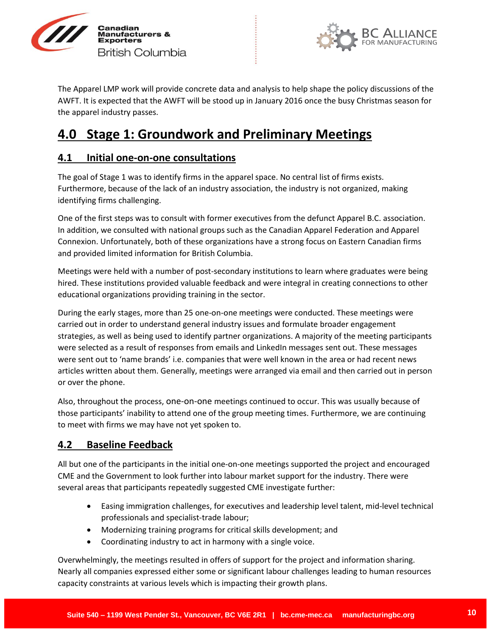



The Apparel LMP work will provide concrete data and analysis to help shape the policy discussions of the AWFT. It is expected that the AWFT will be stood up in January 2016 once the busy Christmas season for the apparel industry passes.

# **4.0 Stage 1: Groundwork and Preliminary Meetings**

## **4.1 Initial one-on-one consultations**

The goal of Stage 1 was to identify firms in the apparel space. No central list of firms exists. Furthermore, because of the lack of an industry association, the industry is not organized, making identifying firms challenging.

One of the first steps was to consult with former executives from the defunct Apparel B.C. association. In addition, we consulted with national groups such as the Canadian Apparel Federation and Apparel Connexion. Unfortunately, both of these organizations have a strong focus on Eastern Canadian firms and provided limited information for British Columbia.

Meetings were held with a number of post-secondary institutions to learn where graduates were being hired. These institutions provided valuable feedback and were integral in creating connections to other educational organizations providing training in the sector.

During the early stages, more than 25 one-on-one meetings were conducted. These meetings were carried out in order to understand general industry issues and formulate broader engagement strategies, as well as being used to identify partner organizations. A majority of the meeting participants were selected as a result of responses from emails and LinkedIn messages sent out. These messages were sent out to 'name brands' i.e. companies that were well known in the area or had recent news articles written about them. Generally, meetings were arranged via email and then carried out in person or over the phone.

Also, throughout the process, one-on-one meetings continued to occur. This was usually because of those participants' inability to attend one of the group meeting times. Furthermore, we are continuing to meet with firms we may have not yet spoken to.

## **4.2 Baseline Feedback**

All but one of the participants in the initial one-on-one meetings supported the project and encouraged CME and the Government to look further into labour market support for the industry. There were several areas that participants repeatedly suggested CME investigate further:

- Easing immigration challenges, for executives and leadership level talent, mid-level technical professionals and specialist-trade labour;
- Modernizing training programs for critical skills development; and
- Coordinating industry to act in harmony with a single voice.

Overwhelmingly, the meetings resulted in offers of support for the project and information sharing. Nearly all companies expressed either some or significant labour challenges leading to human resources capacity constraints at various levels which is impacting their growth plans.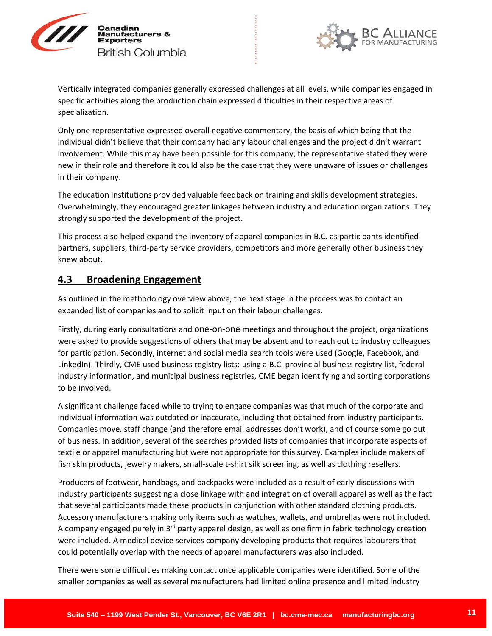



Vertically integrated companies generally expressed challenges at all levels, while companies engaged in specific activities along the production chain expressed difficulties in their respective areas of specialization.

Only one representative expressed overall negative commentary, the basis of which being that the individual didn't believe that their company had any labour challenges and the project didn't warrant involvement. While this may have been possible for this company, the representative stated they were new in their role and therefore it could also be the case that they were unaware of issues or challenges in their company.

The education institutions provided valuable feedback on training and skills development strategies. Overwhelmingly, they encouraged greater linkages between industry and education organizations. They strongly supported the development of the project.

This process also helped expand the inventory of apparel companies in B.C. as participants identified partners, suppliers, third-party service providers, competitors and more generally other business they knew about.

## **4.3 Broadening Engagement**

As outlined in the methodology overview above, the next stage in the process was to contact an expanded list of companies and to solicit input on their labour challenges.

Firstly, during early consultations and one-on-one meetings and throughout the project, organizations were asked to provide suggestions of others that may be absent and to reach out to industry colleagues for participation. Secondly, internet and social media search tools were used (Google, Facebook, and LinkedIn). Thirdly, CME used business registry lists: using a B.C. provincial business registry list, federal industry information, and municipal business registries, CME began identifying and sorting corporations to be involved.

A significant challenge faced while to trying to engage companies was that much of the corporate and individual information was outdated or inaccurate, including that obtained from industry participants. Companies move, staff change (and therefore email addresses don't work), and of course some go out of business. In addition, several of the searches provided lists of companies that incorporate aspects of textile or apparel manufacturing but were not appropriate for this survey. Examples include makers of fish skin products, jewelry makers, small-scale t-shirt silk screening, as well as clothing resellers.

Producers of footwear, handbags, and backpacks were included as a result of early discussions with industry participants suggesting a close linkage with and integration of overall apparel as well as the fact that several participants made these products in conjunction with other standard clothing products. Accessory manufacturers making only items such as watches, wallets, and umbrellas were not included. A company engaged purely in 3<sup>rd</sup> party apparel design, as well as one firm in fabric technology creation were included. A medical device services company developing products that requires labourers that could potentially overlap with the needs of apparel manufacturers was also included.

There were some difficulties making contact once applicable companies were identified. Some of the smaller companies as well as several manufacturers had limited online presence and limited industry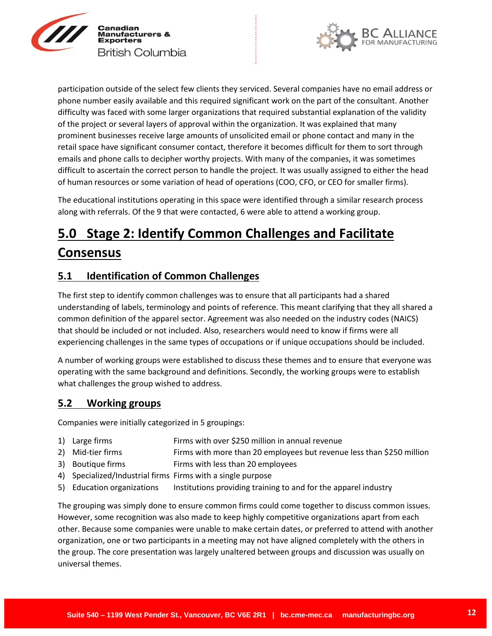



participation outside of the select few clients they serviced. Several companies have no email address or phone number easily available and this required significant work on the part of the consultant. Another difficulty was faced with some larger organizations that required substantial explanation of the validity of the project or several layers of approval within the organization. It was explained that many prominent businesses receive large amounts of unsolicited email or phone contact and many in the retail space have significant consumer contact, therefore it becomes difficult for them to sort through emails and phone calls to decipher worthy projects. With many of the companies, it was sometimes difficult to ascertain the correct person to handle the project. It was usually assigned to either the head of human resources or some variation of head of operations (COO, CFO, or CEO for smaller firms).

The educational institutions operating in this space were identified through a similar research process along with referrals. Of the 9 that were contacted, 6 were able to attend a working group.

# **5.0 Stage 2: Identify Common Challenges and Facilitate Consensus**

## **5.1 Identification of Common Challenges**

The first step to identify common challenges was to ensure that all participants had a shared understanding of labels, terminology and points of reference. This meant clarifying that they all shared a common definition of the apparel sector. Agreement was also needed on the industry codes (NAICS) that should be included or not included. Also, researchers would need to know if firms were all experiencing challenges in the same types of occupations or if unique occupations should be included.

A number of working groups were established to discuss these themes and to ensure that everyone was operating with the same background and definitions. Secondly, the working groups were to establish what challenges the group wished to address.

## **5.2 Working groups**

Companies were initially categorized in 5 groupings:

- 1) Large firms **Firms** with over \$250 million in annual revenue
- 2) Mid-tier firms **Firms with more than 20 employees but revenue less than \$250 million**
- 3) Boutique firms **Firms** with less than 20 employees
- 4) Specialized/Industrial firms Firms with a single purpose
- 5) Education organizations Institutions providing training to and for the apparel industry

The grouping was simply done to ensure common firms could come together to discuss common issues. However, some recognition was also made to keep highly competitive organizations apart from each other. Because some companies were unable to make certain dates, or preferred to attend with another organization, one or two participants in a meeting may not have aligned completely with the others in the group. The core presentation was largely unaltered between groups and discussion was usually on universal themes.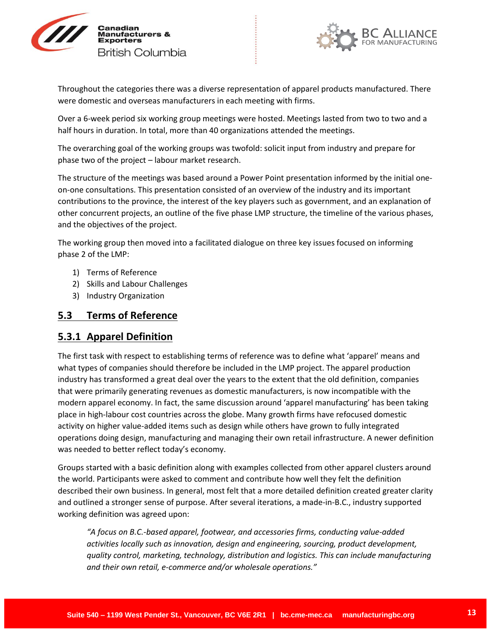



Throughout the categories there was a diverse representation of apparel products manufactured. There were domestic and overseas manufacturers in each meeting with firms.

Over a 6-week period six working group meetings were hosted. Meetings lasted from two to two and a half hours in duration. In total, more than 40 organizations attended the meetings.

The overarching goal of the working groups was twofold: solicit input from industry and prepare for phase two of the project – labour market research.

The structure of the meetings was based around a Power Point presentation informed by the initial oneon-one consultations. This presentation consisted of an overview of the industry and its important contributions to the province, the interest of the key players such as government, and an explanation of other concurrent projects, an outline of the five phase LMP structure, the timeline of the various phases, and the objectives of the project.

The working group then moved into a facilitated dialogue on three key issues focused on informing phase 2 of the LMP:

- 1) Terms of Reference
- 2) Skills and Labour Challenges
- 3) Industry Organization

## **5.3 Terms of Reference**

### **5.3.1 Apparel Definition**

The first task with respect to establishing terms of reference was to define what 'apparel' means and what types of companies should therefore be included in the LMP project. The apparel production industry has transformed a great deal over the years to the extent that the old definition, companies that were primarily generating revenues as domestic manufacturers, is now incompatible with the modern apparel economy. In fact, the same discussion around 'apparel manufacturing' has been taking place in high-labour cost countries across the globe. Many growth firms have refocused domestic activity on higher value-added items such as design while others have grown to fully integrated operations doing design, manufacturing and managing their own retail infrastructure. A newer definition was needed to better reflect today's economy.

Groups started with a basic definition along with examples collected from other apparel clusters around the world. Participants were asked to comment and contribute how well they felt the definition described their own business. In general, most felt that a more detailed definition created greater clarity and outlined a stronger sense of purpose. After several iterations, a made-in-B.C., industry supported working definition was agreed upon:

*"A focus on B.C.-based apparel, footwear, and accessories firms, conducting value-added activities locally such as innovation, design and engineering, sourcing, product development, quality control, marketing, technology, distribution and logistics. This can include manufacturing and their own retail, e-commerce and/or wholesale operations."*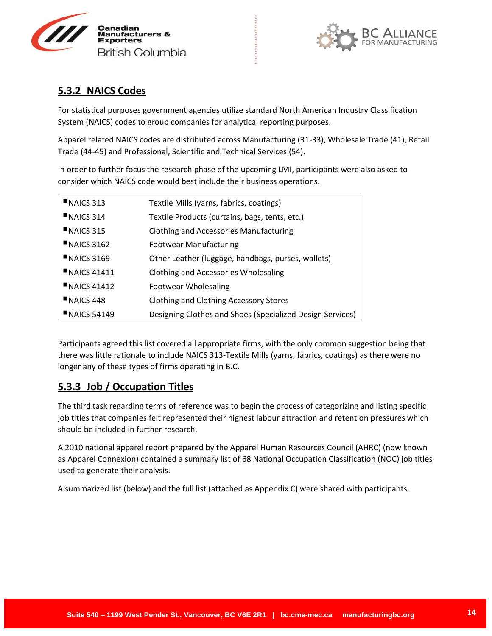



## **5.3.2 NAICS Codes**

For statistical purposes government agencies utilize standard North American Industry Classification System (NAICS) codes to group companies for analytical reporting purposes.

Apparel related NAICS codes are distributed across Manufacturing (31-33), Wholesale Trade (41), Retail Trade (44-45) and Professional, Scientific and Technical Services (54).

In order to further focus the research phase of the upcoming LMI, participants were also asked to consider which NAICS code would best include their business operations.

| NAICS 313          | Textile Mills (yarns, fabrics, coatings)                  |
|--------------------|-----------------------------------------------------------|
| $NAICS$ 314        | Textile Products (curtains, bags, tents, etc.)            |
| $NAICS$ 315        | <b>Clothing and Accessories Manufacturing</b>             |
| $NAICS$ 3162       | <b>Footwear Manufacturing</b>                             |
| $NALCS$ 3169       | Other Leather (luggage, handbags, purses, wallets)        |
| N AICS 41411       | Clothing and Accessories Wholesaling                      |
| N AICS 41412       | Footwear Wholesaling                                      |
| NAICS 448          | <b>Clothing and Clothing Accessory Stores</b>             |
| <b>NAICS 54149</b> | Designing Clothes and Shoes (Specialized Design Services) |

Participants agreed this list covered all appropriate firms, with the only common suggestion being that there was little rationale to include NAICS 313-Textile Mills (yarns, fabrics, coatings) as there were no longer any of these types of firms operating in B.C.

## **5.3.3 Job / Occupation Titles**

The third task regarding terms of reference was to begin the process of categorizing and listing specific job titles that companies felt represented their highest labour attraction and retention pressures which should be included in further research.

A 2010 national apparel report prepared by the Apparel Human Resources Council (AHRC) (now known as Apparel Connexion) contained a summary list of 68 National Occupation Classification (NOC) job titles used to generate their analysis.

A summarized list (below) and the full list (attached as Appendix C) were shared with participants.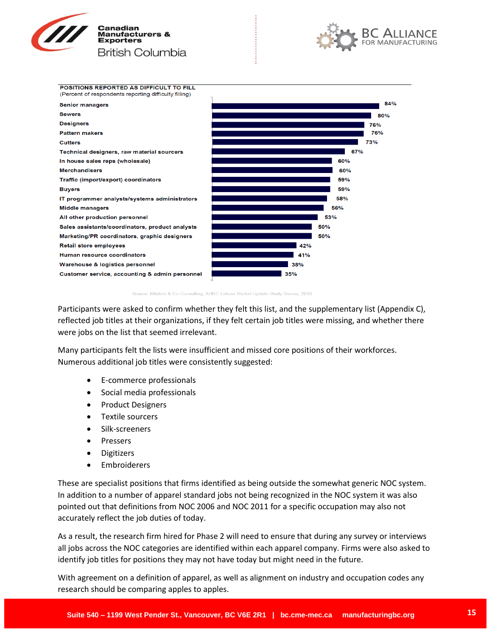





Milstein & Co Consulting, AHRC Labour Market Update Study Survey, 2010

Participants were asked to confirm whether they felt this list, and the supplementary list (Appendix C), reflected job titles at their organizations, if they felt certain job titles were missing, and whether there were jobs on the list that seemed irrelevant.

Many participants felt the lists were insufficient and missed core positions of their workforces. Numerous additional job titles were consistently suggested:

- E-commerce professionals
- Social media professionals
- Product Designers
- Textile sourcers
- Silk-screeners
- Pressers
- Digitizers
- Embroiderers

These are specialist positions that firms identified as being outside the somewhat generic NOC system. In addition to a number of apparel standard jobs not being recognized in the NOC system it was also pointed out that definitions from NOC 2006 and NOC 2011 for a specific occupation may also not accurately reflect the job duties of today.

As a result, the research firm hired for Phase 2 will need to ensure that during any survey or interviews all jobs across the NOC categories are identified within each apparel company. Firms were also asked to identify job titles for positions they may not have today but might need in the future.

With agreement on a definition of apparel, as well as alignment on industry and occupation codes any research should be comparing apples to apples.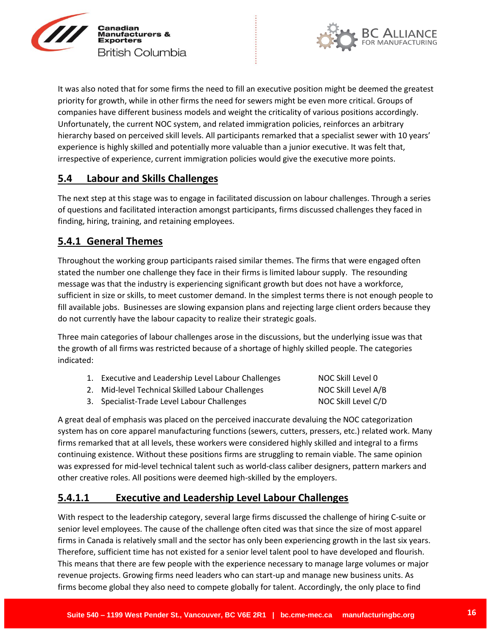



It was also noted that for some firms the need to fill an executive position might be deemed the greatest priority for growth, while in other firms the need for sewers might be even more critical. Groups of companies have different business models and weight the criticality of various positions accordingly. Unfortunately, the current NOC system, and related immigration policies, reinforces an arbitrary hierarchy based on perceived skill levels. All participants remarked that a specialist sewer with 10 years' experience is highly skilled and potentially more valuable than a junior executive. It was felt that, irrespective of experience, current immigration policies would give the executive more points.

## **5.4 Labour and Skills Challenges**

The next step at this stage was to engage in facilitated discussion on labour challenges. Through a series of questions and facilitated interaction amongst participants, firms discussed challenges they faced in finding, hiring, training, and retaining employees.

## **5.4.1 General Themes**

Throughout the working group participants raised similar themes. The firms that were engaged often stated the number one challenge they face in their firms is limited labour supply. The resounding message was that the industry is experiencing significant growth but does not have a workforce, sufficient in size or skills, to meet customer demand. In the simplest terms there is not enough people to fill available jobs. Businesses are slowing expansion plans and rejecting large client orders because they do not currently have the labour capacity to realize their strategic goals.

Three main categories of labour challenges arose in the discussions, but the underlying issue was that the growth of all firms was restricted because of a shortage of highly skilled people. The categories indicated:

| 1. Executive and Leadership Level Labour Challenges | NOC Skill Level 0   |
|-----------------------------------------------------|---------------------|
| 2. Mid-level Technical Skilled Labour Challenges    | NOC Skill Level A/B |
| 3. Specialist-Trade Level Labour Challenges         | NOC Skill Level C/D |

A great deal of emphasis was placed on the perceived inaccurate devaluing the NOC categorization system has on core apparel manufacturing functions (sewers, cutters, pressers, etc.) related work. Many firms remarked that at all levels, these workers were considered highly skilled and integral to a firms continuing existence. Without these positions firms are struggling to remain viable. The same opinion was expressed for mid-level technical talent such as world-class caliber designers, pattern markers and other creative roles. All positions were deemed high-skilled by the employers.

## **5.4.1.1 Executive and Leadership Level Labour Challenges**

With respect to the leadership category, several large firms discussed the challenge of hiring C-suite or senior level employees. The cause of the challenge often cited was that since the size of most apparel firms in Canada is relatively small and the sector has only been experiencing growth in the last six years. Therefore, sufficient time has not existed for a senior level talent pool to have developed and flourish. This means that there are few people with the experience necessary to manage large volumes or major revenue projects. Growing firms need leaders who can start-up and manage new business units. As firms become global they also need to compete globally for talent. Accordingly, the only place to find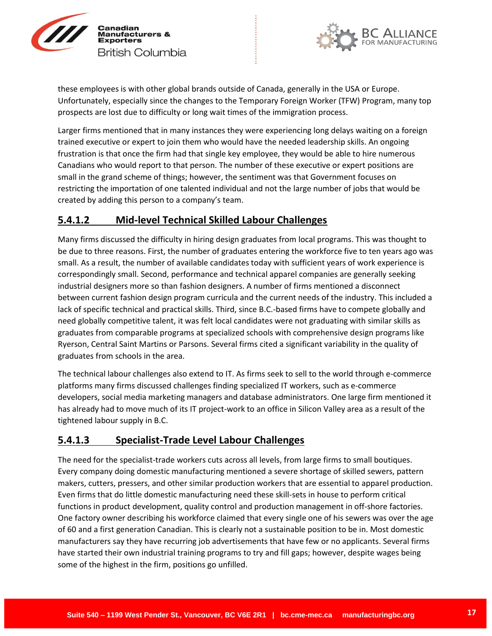



these employees is with other global brands outside of Canada, generally in the USA or Europe. Unfortunately, especially since the changes to the Temporary Foreign Worker (TFW) Program, many top prospects are lost due to difficulty or long wait times of the immigration process.

Larger firms mentioned that in many instances they were experiencing long delays waiting on a foreign trained executive or expert to join them who would have the needed leadership skills. An ongoing frustration is that once the firm had that single key employee, they would be able to hire numerous Canadians who would report to that person. The number of these executive or expert positions are small in the grand scheme of things; however, the sentiment was that Government focuses on restricting the importation of one talented individual and not the large number of jobs that would be created by adding this person to a company's team.

## **5.4.1.2 Mid-level Technical Skilled Labour Challenges**

Many firms discussed the difficulty in hiring design graduates from local programs. This was thought to be due to three reasons. First, the number of graduates entering the workforce five to ten years ago was small. As a result, the number of available candidates today with sufficient years of work experience is correspondingly small. Second, performance and technical apparel companies are generally seeking industrial designers more so than fashion designers. A number of firms mentioned a disconnect between current fashion design program curricula and the current needs of the industry. This included a lack of specific technical and practical skills. Third, since B.C.-based firms have to compete globally and need globally competitive talent, it was felt local candidates were not graduating with similar skills as graduates from comparable programs at specialized schools with comprehensive design programs like Ryerson, Central Saint Martins or Parsons. Several firms cited a significant variability in the quality of graduates from schools in the area.

The technical labour challenges also extend to IT. As firms seek to sell to the world through e-commerce platforms many firms discussed challenges finding specialized IT workers, such as e-commerce developers, social media marketing managers and database administrators. One large firm mentioned it has already had to move much of its IT project-work to an office in Silicon Valley area as a result of the tightened labour supply in B.C.

## **5.4.1.3 Specialist-Trade Level Labour Challenges**

The need for the specialist-trade workers cuts across all levels, from large firms to small boutiques. Every company doing domestic manufacturing mentioned a severe shortage of skilled sewers, pattern makers, cutters, pressers, and other similar production workers that are essential to apparel production. Even firms that do little domestic manufacturing need these skill-sets in house to perform critical functions in product development, quality control and production management in off-shore factories. One factory owner describing his workforce claimed that every single one of his sewers was over the age of 60 and a first generation Canadian. This is clearly not a sustainable position to be in. Most domestic manufacturers say they have recurring job advertisements that have few or no applicants. Several firms have started their own industrial training programs to try and fill gaps; however, despite wages being some of the highest in the firm, positions go unfilled.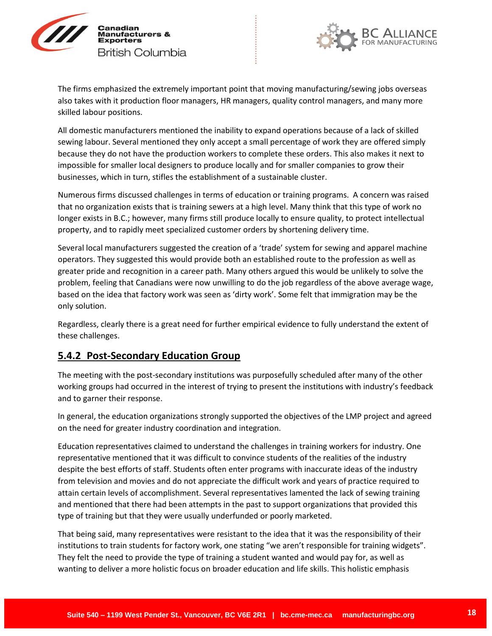



The firms emphasized the extremely important point that moving manufacturing/sewing jobs overseas also takes with it production floor managers, HR managers, quality control managers, and many more skilled labour positions.

All domestic manufacturers mentioned the inability to expand operations because of a lack of skilled sewing labour. Several mentioned they only accept a small percentage of work they are offered simply because they do not have the production workers to complete these orders. This also makes it next to impossible for smaller local designers to produce locally and for smaller companies to grow their businesses, which in turn, stifles the establishment of a sustainable cluster.

Numerous firms discussed challenges in terms of education or training programs. A concern was raised that no organization exists that is training sewers at a high level. Many think that this type of work no longer exists in B.C.; however, many firms still produce locally to ensure quality, to protect intellectual property, and to rapidly meet specialized customer orders by shortening delivery time.

Several local manufacturers suggested the creation of a 'trade' system for sewing and apparel machine operators. They suggested this would provide both an established route to the profession as well as greater pride and recognition in a career path. Many others argued this would be unlikely to solve the problem, feeling that Canadians were now unwilling to do the job regardless of the above average wage, based on the idea that factory work was seen as 'dirty work'. Some felt that immigration may be the only solution.

Regardless, clearly there is a great need for further empirical evidence to fully understand the extent of these challenges.

## **5.4.2 Post-Secondary Education Group**

The meeting with the post-secondary institutions was purposefully scheduled after many of the other working groups had occurred in the interest of trying to present the institutions with industry's feedback and to garner their response.

In general, the education organizations strongly supported the objectives of the LMP project and agreed on the need for greater industry coordination and integration.

Education representatives claimed to understand the challenges in training workers for industry. One representative mentioned that it was difficult to convince students of the realities of the industry despite the best efforts of staff. Students often enter programs with inaccurate ideas of the industry from television and movies and do not appreciate the difficult work and years of practice required to attain certain levels of accomplishment. Several representatives lamented the lack of sewing training and mentioned that there had been attempts in the past to support organizations that provided this type of training but that they were usually underfunded or poorly marketed.

That being said, many representatives were resistant to the idea that it was the responsibility of their institutions to train students for factory work, one stating "we aren't responsible for training widgets". They felt the need to provide the type of training a student wanted and would pay for, as well as wanting to deliver a more holistic focus on broader education and life skills. This holistic emphasis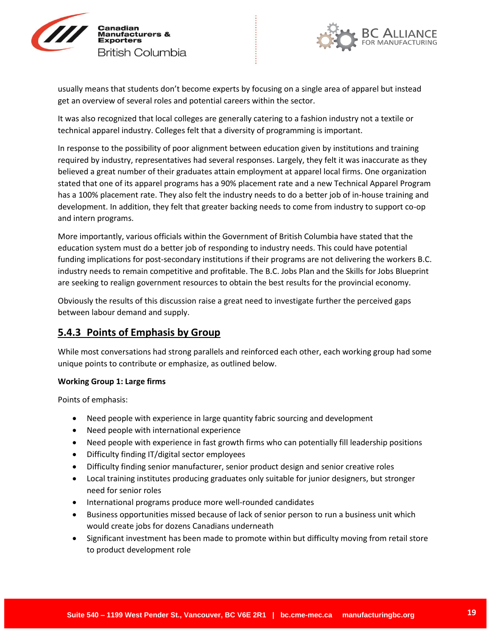



usually means that students don't become experts by focusing on a single area of apparel but instead get an overview of several roles and potential careers within the sector.

It was also recognized that local colleges are generally catering to a fashion industry not a textile or technical apparel industry. Colleges felt that a diversity of programming is important.

In response to the possibility of poor alignment between education given by institutions and training required by industry, representatives had several responses. Largely, they felt it was inaccurate as they believed a great number of their graduates attain employment at apparel local firms. One organization stated that one of its apparel programs has a 90% placement rate and a new Technical Apparel Program has a 100% placement rate. They also felt the industry needs to do a better job of in-house training and development. In addition, they felt that greater backing needs to come from industry to support co-op and intern programs.

More importantly, various officials within the Government of British Columbia have stated that the education system must do a better job of responding to industry needs. This could have potential funding implications for post-secondary institutions if their programs are not delivering the workers B.C. industry needs to remain competitive and profitable. The B.C. Jobs Plan and the Skills for Jobs Blueprint are seeking to realign government resources to obtain the best results for the provincial economy.

Obviously the results of this discussion raise a great need to investigate further the perceived gaps between labour demand and supply.

## **5.4.3 Points of Emphasis by Group**

While most conversations had strong parallels and reinforced each other, each working group had some unique points to contribute or emphasize, as outlined below.

### **Working Group 1: Large firms**

Points of emphasis:

- Need people with experience in large quantity fabric sourcing and development
- Need people with international experience
- Need people with experience in fast growth firms who can potentially fill leadership positions
- Difficulty finding IT/digital sector employees
- Difficulty finding senior manufacturer, senior product design and senior creative roles
- Local training institutes producing graduates only suitable for junior designers, but stronger need for senior roles
- International programs produce more well-rounded candidates
- Business opportunities missed because of lack of senior person to run a business unit which would create jobs for dozens Canadians underneath
- Significant investment has been made to promote within but difficulty moving from retail store to product development role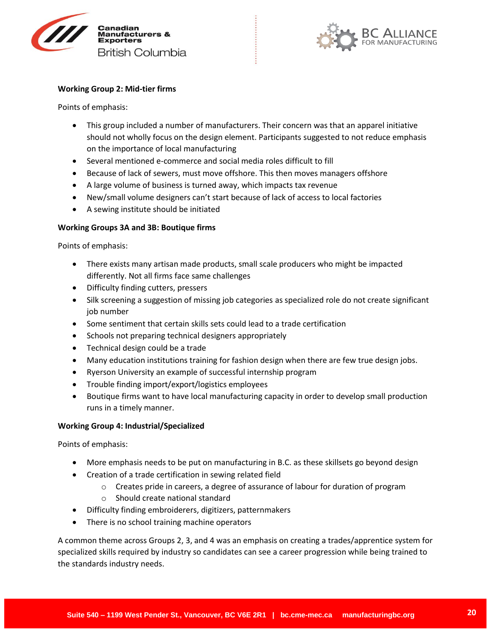



#### **Working Group 2: Mid-tier firms**

Points of emphasis:

- This group included a number of manufacturers. Their concern was that an apparel initiative should not wholly focus on the design element. Participants suggested to not reduce emphasis on the importance of local manufacturing
- Several mentioned e-commerce and social media roles difficult to fill
- Because of lack of sewers, must move offshore. This then moves managers offshore
- A large volume of business is turned away, which impacts tax revenue
- New/small volume designers can't start because of lack of access to local factories
- A sewing institute should be initiated

### **Working Groups 3A and 3B: Boutique firms**

Points of emphasis:

- There exists many artisan made products, small scale producers who might be impacted differently. Not all firms face same challenges
- Difficulty finding cutters, pressers
- Silk screening a suggestion of missing job categories as specialized role do not create significant job number
- Some sentiment that certain skills sets could lead to a trade certification
- Schools not preparing technical designers appropriately
- Technical design could be a trade
- Many education institutions training for fashion design when there are few true design jobs.
- Ryerson University an example of successful internship program
- Trouble finding import/export/logistics employees
- Boutique firms want to have local manufacturing capacity in order to develop small production runs in a timely manner.

#### **Working Group 4: Industrial/Specialized**

Points of emphasis:

- More emphasis needs to be put on manufacturing in B.C. as these skillsets go beyond design
- Creation of a trade certification in sewing related field
	- $\circ$  Creates pride in careers, a degree of assurance of labour for duration of program
	- o Should create national standard
- Difficulty finding embroiderers, digitizers, patternmakers
- There is no school training machine operators

A common theme across Groups 2, 3, and 4 was an emphasis on creating a trades/apprentice system for specialized skills required by industry so candidates can see a career progression while being trained to the standards industry needs.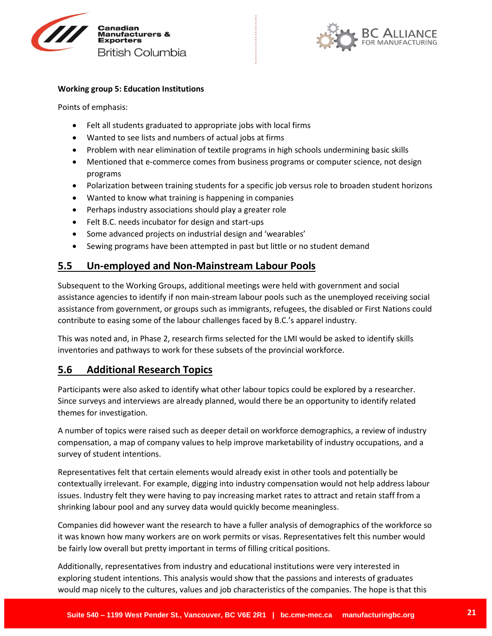



#### **Working group 5: Education Institutions**

Points of emphasis:

- Felt all students graduated to appropriate jobs with local firms
- Wanted to see lists and numbers of actual jobs at firms
- Problem with near elimination of textile programs in high schools undermining basic skills
- Mentioned that e-commerce comes from business programs or computer science, not design programs
- Polarization between training students for a specific job versus role to broaden student horizons
- Wanted to know what training is happening in companies
- Perhaps industry associations should play a greater role
- Felt B.C. needs incubator for design and start-ups
- Some advanced projects on industrial design and 'wearables'
- Sewing programs have been attempted in past but little or no student demand

### **5.5 Un-employed and Non-Mainstream Labour Pools**

Subsequent to the Working Groups, additional meetings were held with government and social assistance agencies to identify if non main-stream labour pools such as the unemployed receiving social assistance from government, or groups such as immigrants, refugees, the disabled or First Nations could contribute to easing some of the labour challenges faced by B.C.'s apparel industry.

This was noted and, in Phase 2, research firms selected for the LMI would be asked to identify skills inventories and pathways to work for these subsets of the provincial workforce.

### **5.6 Additional Research Topics**

Participants were also asked to identify what other labour topics could be explored by a researcher. Since surveys and interviews are already planned, would there be an opportunity to identify related themes for investigation.

A number of topics were raised such as deeper detail on workforce demographics, a review of industry compensation, a map of company values to help improve marketability of industry occupations, and a survey of student intentions.

Representatives felt that certain elements would already exist in other tools and potentially be contextually irrelevant. For example, digging into industry compensation would not help address labour issues. Industry felt they were having to pay increasing market rates to attract and retain staff from a shrinking labour pool and any survey data would quickly become meaningless.

Companies did however want the research to have a fuller analysis of demographics of the workforce so it was known how many workers are on work permits or visas. Representatives felt this number would be fairly low overall but pretty important in terms of filling critical positions.

Additionally, representatives from industry and educational institutions were very interested in exploring student intentions. This analysis would show that the passions and interests of graduates would map nicely to the cultures, values and job characteristics of the companies. The hope is that this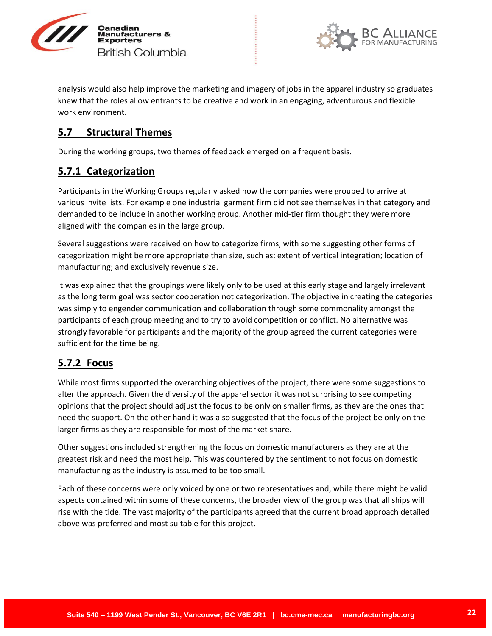



analysis would also help improve the marketing and imagery of jobs in the apparel industry so graduates knew that the roles allow entrants to be creative and work in an engaging, adventurous and flexible work environment.

## **5.7 Structural Themes**

During the working groups, two themes of feedback emerged on a frequent basis.

## **5.7.1 Categorization**

Participants in the Working Groups regularly asked how the companies were grouped to arrive at various invite lists. For example one industrial garment firm did not see themselves in that category and demanded to be include in another working group. Another mid-tier firm thought they were more aligned with the companies in the large group.

Several suggestions were received on how to categorize firms, with some suggesting other forms of categorization might be more appropriate than size, such as: extent of vertical integration; location of manufacturing; and exclusively revenue size.

It was explained that the groupings were likely only to be used at this early stage and largely irrelevant as the long term goal was sector cooperation not categorization. The objective in creating the categories was simply to engender communication and collaboration through some commonality amongst the participants of each group meeting and to try to avoid competition or conflict. No alternative was strongly favorable for participants and the majority of the group agreed the current categories were sufficient for the time being.

## **5.7.2 Focus**

While most firms supported the overarching objectives of the project, there were some suggestions to alter the approach. Given the diversity of the apparel sector it was not surprising to see competing opinions that the project should adjust the focus to be only on smaller firms, as they are the ones that need the support. On the other hand it was also suggested that the focus of the project be only on the larger firms as they are responsible for most of the market share.

Other suggestions included strengthening the focus on domestic manufacturers as they are at the greatest risk and need the most help. This was countered by the sentiment to not focus on domestic manufacturing as the industry is assumed to be too small.

Each of these concerns were only voiced by one or two representatives and, while there might be valid aspects contained within some of these concerns, the broader view of the group was that all ships will rise with the tide. The vast majority of the participants agreed that the current broad approach detailed above was preferred and most suitable for this project.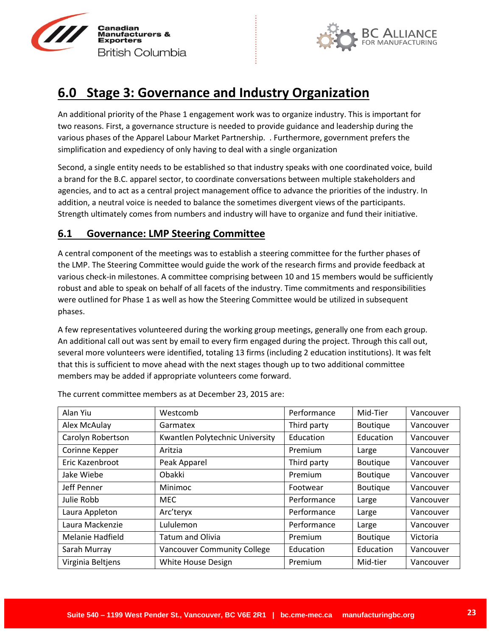



# **6.0 Stage 3: Governance and Industry Organization**

An additional priority of the Phase 1 engagement work was to organize industry. This is important for two reasons. First, a governance structure is needed to provide guidance and leadership during the various phases of the Apparel Labour Market Partnership. . Furthermore, government prefers the simplification and expediency of only having to deal with a single organization

Second, a single entity needs to be established so that industry speaks with one coordinated voice, build a brand for the B.C. apparel sector, to coordinate conversations between multiple stakeholders and agencies, and to act as a central project management office to advance the priorities of the industry. In addition, a neutral voice is needed to balance the sometimes divergent views of the participants. Strength ultimately comes from numbers and industry will have to organize and fund their initiative.

## **6.1 Governance: LMP Steering Committee**

A central component of the meetings was to establish a steering committee for the further phases of the LMP. The Steering Committee would guide the work of the research firms and provide feedback at various check-in milestones. A committee comprising between 10 and 15 members would be sufficiently robust and able to speak on behalf of all facets of the industry. Time commitments and responsibilities were outlined for Phase 1 as well as how the Steering Committee would be utilized in subsequent phases.

A few representatives volunteered during the working group meetings, generally one from each group. An additional call out was sent by email to every firm engaged during the project. Through this call out, several more volunteers were identified, totaling 13 firms (including 2 education institutions). It was felt that this is sufficient to move ahead with the next stages though up to two additional committee members may be added if appropriate volunteers come forward.

| Alan Yiu                | Westcomb                           | Performance | Mid-Tier        | Vancouver |
|-------------------------|------------------------------------|-------------|-----------------|-----------|
| Alex McAulay            | Garmatex                           | Third party | Boutique        | Vancouver |
| Carolyn Robertson       | Kwantlen Polytechnic University    | Education   | Education       | Vancouver |
| Corinne Kepper          | Aritzia                            | Premium     | Large           | Vancouver |
| Eric Kazenbroot         | Peak Apparel                       | Third party | Boutique        | Vancouver |
| Jake Wiebe              | Obakki                             | Premium     | Boutique        | Vancouver |
| Jeff Penner             | Minimoc                            | Footwear    | Boutique        | Vancouver |
| Julie Robb              | <b>MEC</b>                         | Performance | Large           | Vancouver |
| Laura Appleton          | Arc'teryx                          | Performance | Large           | Vancouver |
| Laura Mackenzie         | Lululemon                          | Performance | Large           | Vancouver |
| <b>Melanie Hadfield</b> | <b>Tatum and Olivia</b>            | Premium     | <b>Boutique</b> | Victoria  |
| Sarah Murray            | <b>Vancouver Community College</b> | Education   | Education       | Vancouver |
| Virginia Beltjens       | White House Design                 | Premium     | Mid-tier        | Vancouver |

The current committee members as at December 23, 2015 are: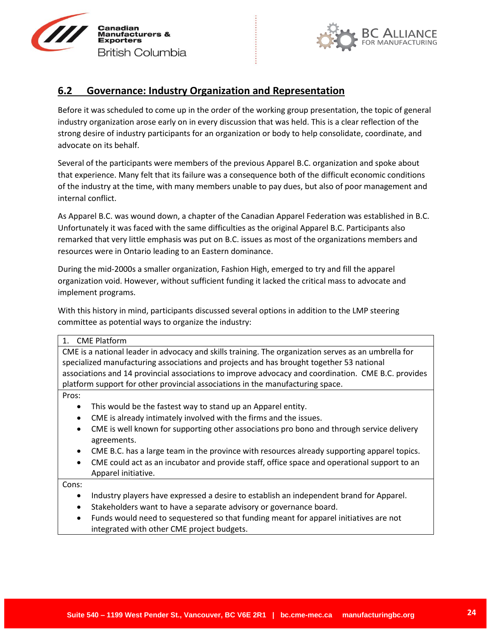



## **6.2 Governance: Industry Organization and Representation**

Before it was scheduled to come up in the order of the working group presentation, the topic of general industry organization arose early on in every discussion that was held. This is a clear reflection of the strong desire of industry participants for an organization or body to help consolidate, coordinate, and advocate on its behalf.

Several of the participants were members of the previous Apparel B.C. organization and spoke about that experience. Many felt that its failure was a consequence both of the difficult economic conditions of the industry at the time, with many members unable to pay dues, but also of poor management and internal conflict.

As Apparel B.C. was wound down, a chapter of the Canadian Apparel Federation was established in B.C. Unfortunately it was faced with the same difficulties as the original Apparel B.C. Participants also remarked that very little emphasis was put on B.C. issues as most of the organizations members and resources were in Ontario leading to an Eastern dominance.

During the mid-2000s a smaller organization, Fashion High, emerged to try and fill the apparel organization void. However, without sufficient funding it lacked the critical mass to advocate and implement programs.

With this history in mind, participants discussed several options in addition to the LMP steering committee as potential ways to organize the industry:

## 1. CME Platform CME is a national leader in advocacy and skills training. The organization serves as an umbrella for specialized manufacturing associations and projects and has brought together 53 national associations and 14 provincial associations to improve advocacy and coordination. CME B.C. provides platform support for other provincial associations in the manufacturing space. Pros: This would be the fastest way to stand up an Apparel entity. CME is already intimately involved with the firms and the issues. CME is well known for supporting other associations pro bono and through service delivery agreements.

- CME B.C. has a large team in the province with resources already supporting apparel topics.
- CME could act as an incubator and provide staff, office space and operational support to an Apparel initiative.

Cons:

- Industry players have expressed a desire to establish an independent brand for Apparel.
- Stakeholders want to have a separate advisory or governance board.
- Funds would need to sequestered so that funding meant for apparel initiatives are not integrated with other CME project budgets.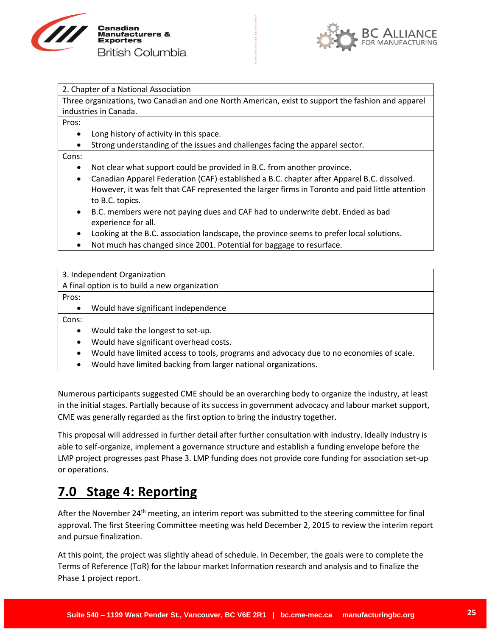



|  |  |  |  | 2. Chapter of a National Association |
|--|--|--|--|--------------------------------------|
|--|--|--|--|--------------------------------------|

Three organizations, two Canadian and one North American, exist to support the fashion and apparel industries in Canada.

Pros:

- Long history of activity in this space.
- Strong understanding of the issues and challenges facing the apparel sector.

Cons:

- Not clear what support could be provided in B.C. from another province.
- Canadian Apparel Federation (CAF) established a B.C. chapter after Apparel B.C. dissolved. However, it was felt that CAF represented the larger firms in Toronto and paid little attention to B.C. topics.
- B.C. members were not paying dues and CAF had to underwrite debt. Ended as bad experience for all.
- Looking at the B.C. association landscape, the province seems to prefer local solutions.
- Not much has changed since 2001. Potential for baggage to resurface.

|           | 3. Independent Organization                                                             |
|-----------|-----------------------------------------------------------------------------------------|
|           |                                                                                         |
|           | A final option is to build a new organization                                           |
| Pros:     |                                                                                         |
| $\bullet$ | Would have significant independence                                                     |
| Cons:     |                                                                                         |
| $\bullet$ | Would take the longest to set-up.                                                       |
| $\bullet$ | Would have significant overhead costs.                                                  |
| $\bullet$ | Would have limited access to tools, programs and advocacy due to no economies of scale. |

Would have limited backing from larger national organizations.

Numerous participants suggested CME should be an overarching body to organize the industry, at least in the initial stages. Partially because of its success in government advocacy and labour market support, CME was generally regarded as the first option to bring the industry together.

This proposal will addressed in further detail after further consultation with industry. Ideally industry is able to self-organize, implement a governance structure and establish a funding envelope before the LMP project progresses past Phase 3. LMP funding does not provide core funding for association set-up or operations.

# **7.0 Stage 4: Reporting**

After the November 24<sup>th</sup> meeting, an interim report was submitted to the steering committee for final approval. The first Steering Committee meeting was held December 2, 2015 to review the interim report and pursue finalization.

At this point, the project was slightly ahead of schedule. In December, the goals were to complete the Terms of Reference (ToR) for the labour market Information research and analysis and to finalize the Phase 1 project report.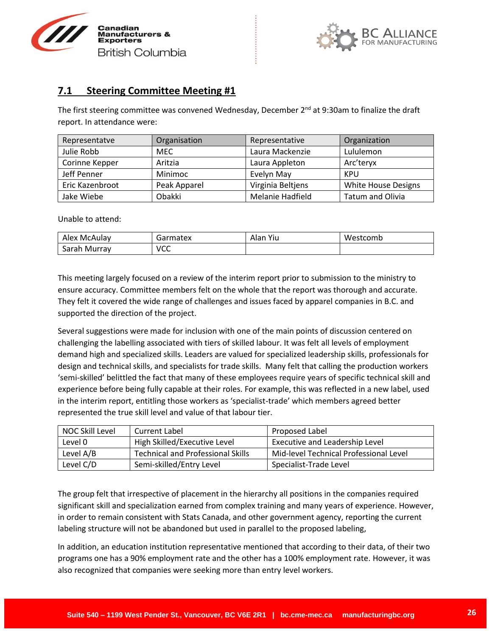



## **7.1 Steering Committee Meeting #1**

The first steering committee was convened Wednesday, December  $2^{nd}$  at 9:30am to finalize the draft report. In attendance were:

| Representatve   | Organisation | Representative    | Organization               |
|-----------------|--------------|-------------------|----------------------------|
| Julie Robb      | <b>MEC</b>   | Laura Mackenzie   | Lululemon                  |
| Corinne Kepper  | Aritzia      | Laura Appleton    | Arc'teryx                  |
| Jeff Penner     | Minimoc      | Evelyn May        | KPU                        |
| Eric Kazenbroot | Peak Apparel | Virginia Beltjens | <b>White House Designs</b> |
| Jake Wiebe      | Obakki       | Melanie Hadfield  | <b>Tatum and Olivia</b>    |

Unable to attend:

| Alex McAulay                                | Garmatex | Yiu<br>Alan | Westcomb |
|---------------------------------------------|----------|-------------|----------|
| $\overline{\phantom{0}}$<br>Sarah<br>Murray | VCC      |             |          |

This meeting largely focused on a review of the interim report prior to submission to the ministry to ensure accuracy. Committee members felt on the whole that the report was thorough and accurate. They felt it covered the wide range of challenges and issues faced by apparel companies in B.C. and supported the direction of the project.

Several suggestions were made for inclusion with one of the main points of discussion centered on challenging the labelling associated with tiers of skilled labour. It was felt all levels of employment demand high and specialized skills. Leaders are valued for specialized leadership skills, professionals for design and technical skills, and specialists for trade skills. Many felt that calling the production workers 'semi-skilled' belittled the fact that many of these employees require years of specific technical skill and experience before being fully capable at their roles. For example, this was reflected in a new label, used in the interim report, entitling those workers as 'specialist-trade' which members agreed better represented the true skill level and value of that labour tier.

| NOC Skill Level | Current Label                     | Proposed Label                         |
|-----------------|-----------------------------------|----------------------------------------|
| Level 0         | High Skilled/Executive Level      | Executive and Leadership Level         |
| Level A/B       | Technical and Professional Skills | Mid-level Technical Professional Level |
| Level C/D       | Semi-skilled/Entry Level          | Specialist-Trade Level                 |

The group felt that irrespective of placement in the hierarchy all positions in the companies required significant skill and specialization earned from complex training and many years of experience. However, in order to remain consistent with Stats Canada, and other government agency, reporting the current labeling structure will not be abandoned but used in parallel to the proposed labeling,

In addition, an education institution representative mentioned that according to their data, of their two programs one has a 90% employment rate and the other has a 100% employment rate. However, it was also recognized that companies were seeking more than entry level workers.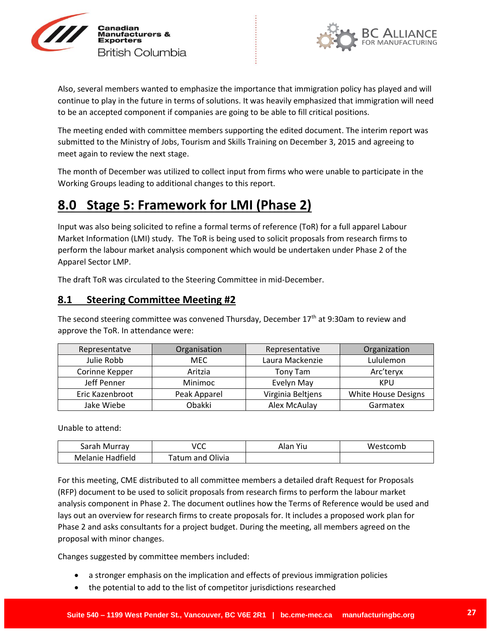



Also, several members wanted to emphasize the importance that immigration policy has played and will continue to play in the future in terms of solutions. It was heavily emphasized that immigration will need to be an accepted component if companies are going to be able to fill critical positions.

The meeting ended with committee members supporting the edited document. The interim report was submitted to the Ministry of Jobs, Tourism and Skills Training on December 3, 2015 and agreeing to meet again to review the next stage.

The month of December was utilized to collect input from firms who were unable to participate in the Working Groups leading to additional changes to this report.

# **8.0 Stage 5: Framework for LMI (Phase 2)**

Input was also being solicited to refine a formal terms of reference (ToR) for a full apparel Labour Market Information (LMI) study. The ToR is being used to solicit proposals from research firms to perform the labour market analysis component which would be undertaken under Phase 2 of the Apparel Sector LMP.

The draft ToR was circulated to the Steering Committee in mid-December.

## **8.1 Steering Committee Meeting #2**

The second steering committee was convened Thursday, December  $17<sup>th</sup>$  at 9:30am to review and approve the ToR. In attendance were:

| Representatve   | Organisation | Representative    | Organization               |
|-----------------|--------------|-------------------|----------------------------|
| Julie Robb      | <b>MEC</b>   | Laura Mackenzie   | Lululemon                  |
| Corinne Kepper  | Aritzia      | Tony Tam          | Arc'teryx                  |
| Jeff Penner     | Minimoc      | Evelyn May        | KPU                        |
| Eric Kazenbroot | Peak Apparel | Virginia Beltjens | <b>White House Designs</b> |
| Jake Wiebe      | Obakki       | Alex McAulay      | Garmatex                   |

Unable to attend:

| Sarah Murray     | VCC                   | Yiu<br>Alan | Westcomb |
|------------------|-----------------------|-------------|----------|
| Melanie Hadfield | ' Olivia<br>Tatum and |             |          |

For this meeting, CME distributed to all committee members a detailed draft Request for Proposals (RFP) document to be used to solicit proposals from research firms to perform the labour market analysis component in Phase 2. The document outlines how the Terms of Reference would be used and lays out an overview for research firms to create proposals for. It includes a proposed work plan for Phase 2 and asks consultants for a project budget. During the meeting, all members agreed on the proposal with minor changes.

Changes suggested by committee members included:

- a stronger emphasis on the implication and effects of previous immigration policies
- the potential to add to the list of competitor jurisdictions researched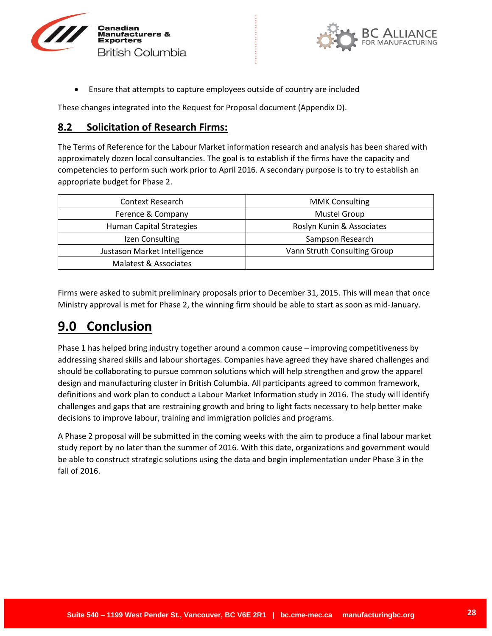



Ensure that attempts to capture employees outside of country are included

These changes integrated into the Request for Proposal document (Appendix D).

## **8.2 Solicitation of Research Firms:**

The Terms of Reference for the Labour Market information research and analysis has been shared with approximately dozen local consultancies. The goal is to establish if the firms have the capacity and competencies to perform such work prior to April 2016. A secondary purpose is to try to establish an appropriate budget for Phase 2.

| Context Research                | <b>MMK Consulting</b>        |
|---------------------------------|------------------------------|
| Ference & Company               | <b>Mustel Group</b>          |
| <b>Human Capital Strategies</b> | Roslyn Kunin & Associates    |
| Izen Consulting                 | Sampson Research             |
| Justason Market Intelligence    | Vann Struth Consulting Group |
| Malatest & Associates           |                              |

Firms were asked to submit preliminary proposals prior to December 31, 2015. This will mean that once Ministry approval is met for Phase 2, the winning firm should be able to start as soon as mid-January.

# **9.0 Conclusion**

Phase 1 has helped bring industry together around a common cause – improving competitiveness by addressing shared skills and labour shortages. Companies have agreed they have shared challenges and should be collaborating to pursue common solutions which will help strengthen and grow the apparel design and manufacturing cluster in British Columbia. All participants agreed to common framework, definitions and work plan to conduct a Labour Market Information study in 2016. The study will identify challenges and gaps that are restraining growth and bring to light facts necessary to help better make decisions to improve labour, training and immigration policies and programs.

A Phase 2 proposal will be submitted in the coming weeks with the aim to produce a final labour market study report by no later than the summer of 2016. With this date, organizations and government would be able to construct strategic solutions using the data and begin implementation under Phase 3 in the fall of 2016.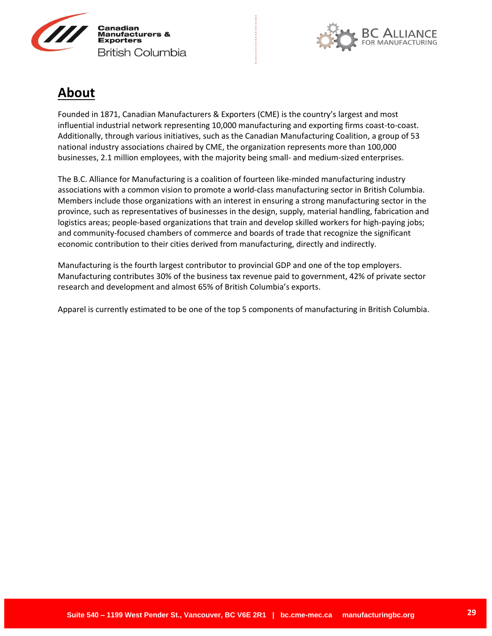



# **About**

Founded in 1871, Canadian Manufacturers & Exporters (CME) is the country's largest and most influential industrial network representing 10,000 manufacturing and exporting firms coast-to-coast. Additionally, through various initiatives, such as the Canadian Manufacturing Coalition, a group of 53 national industry associations chaired by CME, the organization represents more than 100,000 businesses, 2.1 million employees, with the majority being small- and medium-sized enterprises.

The B.C. Alliance for Manufacturing is a coalition of fourteen like-minded manufacturing industry associations with a common vision to promote a world-class manufacturing sector in British Columbia. Members include those organizations with an interest in ensuring a strong manufacturing sector in the province, such as representatives of businesses in the design, supply, material handling, fabrication and logistics areas; people-based organizations that train and develop skilled workers for high-paying jobs; and community-focused chambers of commerce and boards of trade that recognize the significant economic contribution to their cities derived from manufacturing, directly and indirectly.

Manufacturing is the fourth largest contributor to provincial GDP and one of the top employers. Manufacturing contributes 30% of the business tax revenue paid to government, 42% of private sector research and development and almost 65% of British Columbia's exports.

Apparel is currently estimated to be one of the top 5 components of manufacturing in British Columbia.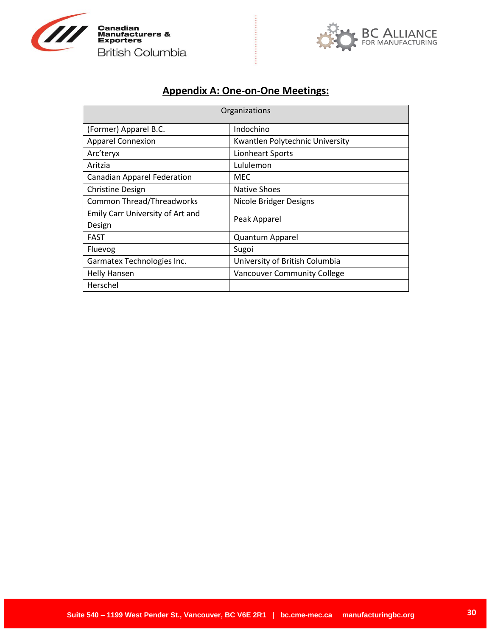



## **Appendix A: One-on-One Meetings:**

..........

| Organizations                      |                                    |  |
|------------------------------------|------------------------------------|--|
| (Former) Apparel B.C.              | Indochino                          |  |
| <b>Apparel Connexion</b>           | Kwantlen Polytechnic University    |  |
| Arc'teryx                          | Lionheart Sports                   |  |
| Aritzia                            | Lululemon                          |  |
| <b>Canadian Apparel Federation</b> | MEC                                |  |
| <b>Christine Design</b>            | Native Shoes                       |  |
| <b>Common Thread/Threadworks</b>   | Nicole Bridger Designs             |  |
| Emily Carr University of Art and   | Peak Apparel                       |  |
| Design                             |                                    |  |
| <b>FAST</b>                        | <b>Quantum Apparel</b>             |  |
| Fluevog                            | Sugoi                              |  |
| Garmatex Technologies Inc.         | University of British Columbia     |  |
| <b>Helly Hansen</b>                | <b>Vancouver Community College</b> |  |
| Herschel                           |                                    |  |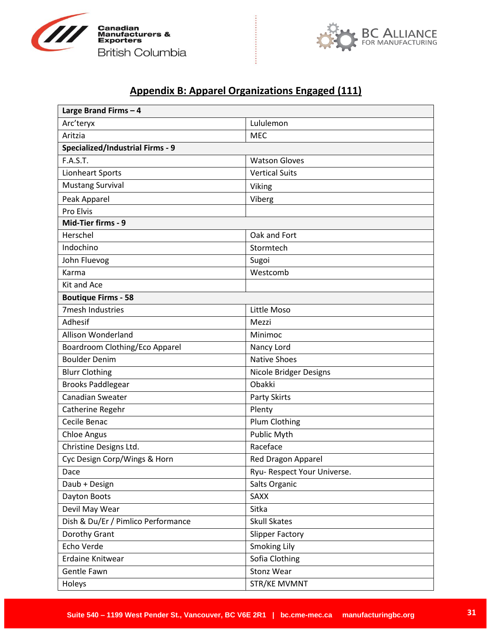



# **Appendix B: Apparel Organizations Engaged (111)**

..........

| Large Brand Firms - 4                   |                             |
|-----------------------------------------|-----------------------------|
| Arc'teryx                               | Lululemon                   |
| Aritzia                                 | <b>MEC</b>                  |
| <b>Specialized/Industrial Firms - 9</b> |                             |
| <b>F.A.S.T.</b>                         | <b>Watson Gloves</b>        |
| Lionheart Sports                        | <b>Vertical Suits</b>       |
| <b>Mustang Survival</b>                 | Viking                      |
| Peak Apparel                            | Viberg                      |
| Pro Elvis                               |                             |
| Mid-Tier firms - 9                      |                             |
| Herschel                                | Oak and Fort                |
| Indochino                               | Stormtech                   |
| John Fluevog                            | Sugoi                       |
| Karma                                   | Westcomb                    |
| Kit and Ace                             |                             |
| <b>Boutique Firms - 58</b>              |                             |
| 7mesh Industries                        | Little Moso                 |
| Adhesif                                 | Mezzi                       |
| Allison Wonderland                      | Minimoc                     |
| Boardroom Clothing/Eco Apparel          | Nancy Lord                  |
| <b>Boulder Denim</b>                    | <b>Native Shoes</b>         |
| <b>Blurr Clothing</b>                   | Nicole Bridger Designs      |
| <b>Brooks Paddlegear</b>                | Obakki                      |
| Canadian Sweater                        | Party Skirts                |
| Catherine Regehr                        | Plenty                      |
| Cecile Benac                            | Plum Clothing               |
| <b>Chloe Angus</b>                      | Public Myth                 |
| Christine Designs Ltd.                  | Raceface                    |
| Cyc Design Corp/Wings & Horn            | Red Dragon Apparel          |
| Dace                                    | Ryu- Respect Your Universe. |
| Daub + Design                           | Salts Organic               |
| Dayton Boots                            | SAXX                        |
| Devil May Wear                          | Sitka                       |
| Dish & Du/Er / Pimlico Performance      | <b>Skull Skates</b>         |
| Dorothy Grant                           | <b>Slipper Factory</b>      |
| Echo Verde                              | <b>Smoking Lily</b>         |
| Erdaine Knitwear                        | Sofia Clothing              |
| Gentle Fawn                             | <b>Stonz Wear</b>           |
| Holeys                                  | STR/KE MVMNT                |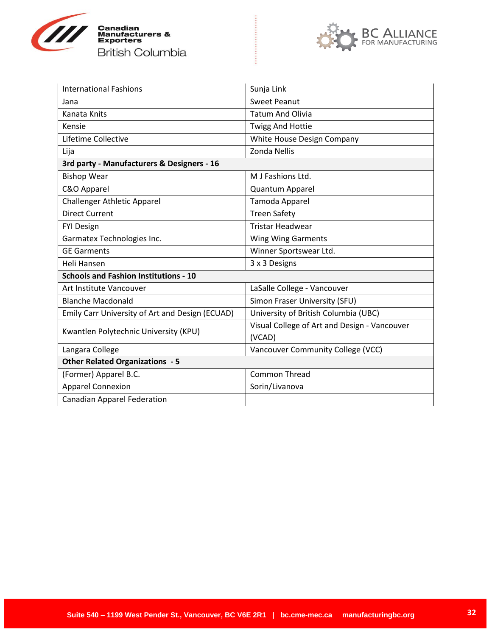



| <b>International Fashions</b>                   | Sunja Link                                             |
|-------------------------------------------------|--------------------------------------------------------|
| Jana                                            | <b>Sweet Peanut</b>                                    |
| Kanata Knits                                    | <b>Tatum And Olivia</b>                                |
| Kensie                                          | <b>Twigg And Hottie</b>                                |
| Lifetime Collective                             | White House Design Company                             |
| Lija                                            | <b>Zonda Nellis</b>                                    |
| 3rd party - Manufacturers & Designers - 16      |                                                        |
| <b>Bishop Wear</b>                              | M J Fashions Ltd.                                      |
| C&O Apparel                                     | <b>Quantum Apparel</b>                                 |
| <b>Challenger Athletic Apparel</b>              | Tamoda Apparel                                         |
| <b>Direct Current</b>                           | <b>Treen Safety</b>                                    |
| <b>FYI Design</b>                               | <b>Tristar Headwear</b>                                |
| Garmatex Technologies Inc.                      | Wing Wing Garments                                     |
| <b>GE Garments</b>                              | Winner Sportswear Ltd.                                 |
| Heli Hansen                                     | 3 x 3 Designs                                          |
| <b>Schools and Fashion Institutions - 10</b>    |                                                        |
| Art Institute Vancouver                         | LaSalle College - Vancouver                            |
| <b>Blanche Macdonald</b>                        | Simon Fraser University (SFU)                          |
| Emily Carr University of Art and Design (ECUAD) | University of British Columbia (UBC)                   |
| Kwantlen Polytechnic University (KPU)           | Visual College of Art and Design - Vancouver<br>(VCAD) |
| Langara College                                 | Vancouver Community College (VCC)                      |
| <b>Other Related Organizations - 5</b>          |                                                        |
| (Former) Apparel B.C.                           | <b>Common Thread</b>                                   |
| <b>Apparel Connexion</b>                        | Sorin/Livanova                                         |
| <b>Canadian Apparel Federation</b>              |                                                        |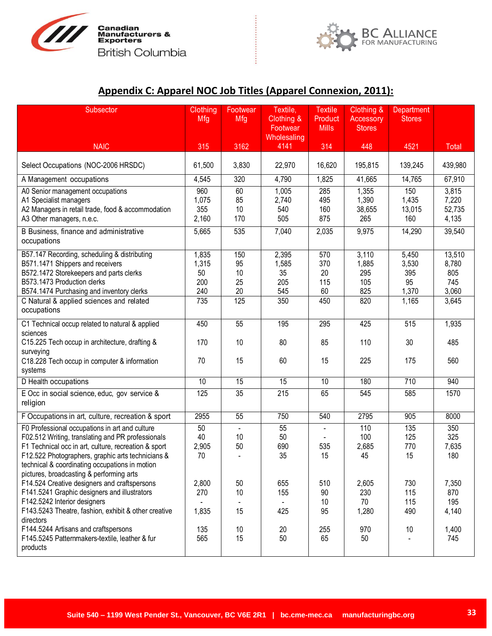



# **Appendix C: Apparel NOC Job Titles (Apparel Connexion, 2011):**

| Subsector                                                                                                                                                                                                                                                                                                      | Clothing<br>Mfg                           | Footwear<br>Mfg                    | Textile,<br>Clothing &                    | <b>Textile</b><br>Product<br><b>Mills</b> | Clothing &<br><b>Accessory</b>             | Department<br><b>Stores</b>                   |                                                 |
|----------------------------------------------------------------------------------------------------------------------------------------------------------------------------------------------------------------------------------------------------------------------------------------------------------------|-------------------------------------------|------------------------------------|-------------------------------------------|-------------------------------------------|--------------------------------------------|-----------------------------------------------|-------------------------------------------------|
|                                                                                                                                                                                                                                                                                                                |                                           |                                    | Footwear<br>Wholesaling                   |                                           | <b>Stores</b>                              |                                               |                                                 |
| <b>NAIC</b>                                                                                                                                                                                                                                                                                                    | 315                                       | 3162                               | 4141                                      | 314                                       | 448                                        | 4521                                          | Total                                           |
| Select Occupations (NOC-2006 HRSDC)                                                                                                                                                                                                                                                                            | 61,500                                    | 3,830                              | 22,970                                    | 16,620                                    | 195,815                                    | 139,245                                       | 439,980                                         |
| A Management occupations                                                                                                                                                                                                                                                                                       | 4,545                                     | 320                                | 4,790                                     | 1,825                                     | 41,665                                     | 14,765                                        | 67,910                                          |
| A0 Senior management occupations<br>A1 Specialist managers<br>A2 Managers in retail trade, food & accommodation<br>A3 Other managers, n.e.c.                                                                                                                                                                   | 960<br>1,075<br>355<br>2,160              | 60<br>85<br>10<br>170              | 1,005<br>2,740<br>540<br>505              | 285<br>495<br>160<br>875                  | 1,355<br>1,390<br>38,655<br>265            | 150<br>1,435<br>13,015<br>160                 | 3,815<br>7,220<br>52,735<br>4,135               |
| B Business, finance and administrative<br>occupations                                                                                                                                                                                                                                                          | 5,665                                     | 535                                | 7,040                                     | 2,035                                     | 9,975                                      | 14,290                                        | 39,540                                          |
| B57.147 Recording, scheduling & distributing<br>B571.1471 Shippers and receivers<br>B572.1472 Storekeepers and parts clerks<br>B573.1473 Production clerks<br>B574.1474 Purchasing and inventory clerks<br>C Natural & applied sciences and related<br>occupations                                             | 1,835<br>1,315<br>50<br>200<br>240<br>735 | 150<br>95<br>10<br>25<br>20<br>125 | 2,395<br>1,585<br>35<br>205<br>545<br>350 | 570<br>370<br>20<br>115<br>60<br>450      | 3,110<br>1,885<br>295<br>105<br>825<br>820 | 5,450<br>3,530<br>395<br>95<br>1,370<br>1,165 | 13,510<br>8,780<br>805<br>745<br>3,060<br>3,645 |
| C1 Technical occup related to natural & applied<br>sciences                                                                                                                                                                                                                                                    | 450                                       | 55                                 | 195                                       | 295                                       | 425                                        | 515                                           | 1,935                                           |
| C15.225 Tech occup in architecture, drafting &<br>surveying<br>C18.228 Tech occup in computer & information<br>systems                                                                                                                                                                                         | 170<br>70                                 | 10<br>15                           | 80<br>60                                  | 85<br>15                                  | 110<br>225                                 | 30<br>175                                     | 485<br>560                                      |
| D Health occupations                                                                                                                                                                                                                                                                                           | $\overline{10}$                           | $\overline{15}$                    | $\overline{15}$                           | 10                                        | 180                                        | 710                                           | 940                                             |
| E Occ in social science, educ, gov service &<br>religion                                                                                                                                                                                                                                                       | 125                                       | 35                                 | 215                                       | 65                                        | 545                                        | 585                                           | 1570                                            |
| F Occupations in art, culture, recreation & sport                                                                                                                                                                                                                                                              | 2955                                      | 55                                 | 750                                       | 540                                       | 2795                                       | 905                                           | 8000                                            |
| F0 Professional occupations in art and culture<br>F02.512 Writing, translating and PR professionals<br>F1 Technical occ in art, culture, recreation & sport<br>F12.522 Photographers, graphic arts technicians &<br>technical & coordinating occupations in motion<br>pictures, broadcasting & performing arts | 50<br>40<br>2,905<br>70                   | 10<br>50                           | 55<br>50<br>690<br>35                     | 535<br>15                                 | 110<br>100<br>2,685<br>45                  | 135<br>125<br>770<br>15                       | 350<br>325<br>7,635<br>180                      |
| F14.524 Creative designers and craftspersons<br>F141.5241 Graphic designers and illustrators<br>F142.5242 Interior designers<br>F143.5243 Theatre, fashion, exhibit & other creative<br>directors                                                                                                              | 2,800<br>270<br>1,835                     | 50<br>10<br>15                     | 655<br>155<br>425                         | 510<br>90<br>10<br>95                     | 2,605<br>230<br>70<br>1,280                | 730<br>115<br>115<br>490                      | 7,350<br>870<br>195<br>4,140                    |
| F144.5244 Artisans and craftspersons<br>F145.5245 Patternmakers-textile, leather & fur<br>products                                                                                                                                                                                                             | 135<br>565                                | 10<br>15                           | 20<br>50                                  | 255<br>65                                 | 970<br>50                                  | 10                                            | 1,400<br>745                                    |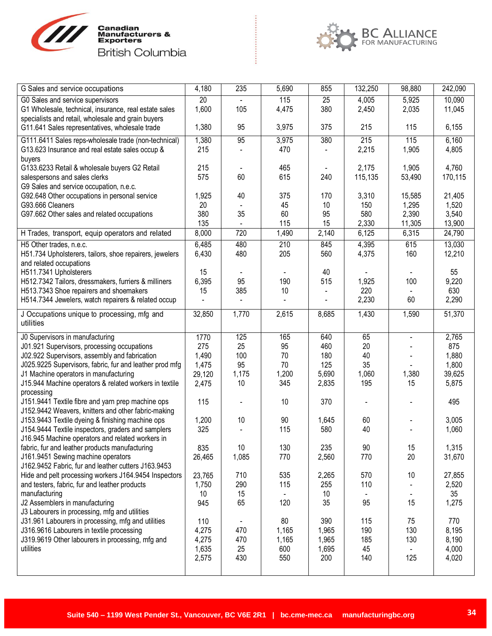



| G Sales and service occupations                                                                        | 4,180        | 235   | 5,690 | 855   | 132,250 | 98,880         | 242,090 |
|--------------------------------------------------------------------------------------------------------|--------------|-------|-------|-------|---------|----------------|---------|
| G0 Sales and service supervisors                                                                       | 20           |       | 115   | 25    | 4,005   | 5,925          | 10,090  |
| G1 Wholesale, technical, insurance, real estate sales                                                  | 1,600        | 105   | 4,475 | 380   | 2,450   | 2,035          | 11,045  |
| specialists and retail, wholesale and grain buyers                                                     |              |       |       |       |         |                |         |
| G11.641 Sales representatives, wholesale trade                                                         | 1,380        | 95    | 3,975 | 375   | 215     | 115            | 6,155   |
| G111.6411 Sales reps-wholesale trade (non-technical)                                                   | 1,380        | 95    | 3,975 | 380   | 215     | 115            | 6,160   |
| G13.623 Insurance and real estate sales occup &                                                        | 215          |       | 470   |       | 2,215   | 1,905          | 4,805   |
| buyers                                                                                                 |              |       |       |       |         |                |         |
| G133.6233 Retail & wholesale buyers G2 Retail                                                          | 215          |       | 465   |       | 2,175   | 1,905          | 4,760   |
| salespersons and sales clerks                                                                          | 575          | 60    | 615   | 240   | 115,135 | 53,490         | 170,115 |
| G9 Sales and service occupation, n.e.c.                                                                |              |       |       |       |         |                |         |
| G92.648 Other occupations in personal service                                                          | 1,925        | 40    | 375   | 170   | 3,310   | 15,585         | 21,405  |
| G93.666 Cleaners                                                                                       | 20           |       | 45    | 10    | 150     | 1,295          | 1,520   |
| G97.662 Other sales and related occupations                                                            | 380          | 35    | 60    | 95    | 580     | 2,390          | 3,540   |
|                                                                                                        | 135          |       | 115   | 15    | 2,330   | 11,305         | 13,900  |
| H Trades, transport, equip operators and related                                                       | 8,000        | 720   | 1,490 | 2,140 | 6,125   | 6,315          | 24,790  |
| H5 Other trades, n.e.c.                                                                                | 6,485        | 480   | 210   | 845   | 4,395   | 615            | 13,030  |
| H51.734 Upholsterers, tailors, shoe repairers, jewelers                                                | 6,430        | 480   | 205   | 560   | 4,375   | 160            | 12,210  |
| and related occupations                                                                                |              |       |       |       |         |                |         |
| H511.7341 Upholsterers                                                                                 | 15           |       |       | 40    |         |                | 55      |
| H512.7342 Tailors, dressmakers, furriers & milliners                                                   | 6,395        | 95    | 190   | 515   | 1,925   | 100            | 9,220   |
| H513.7343 Shoe repairers and shoemakers                                                                | 15           | 385   | 10    |       | 220     |                | 630     |
| H514.7344 Jewelers, watch repairers & related occup                                                    |              |       |       |       | 2,230   | 60             | 2,290   |
|                                                                                                        | 32,850       | 1,770 | 2,615 | 8,685 | 1,430   | 1,590          | 51,370  |
| J Occupations unique to processing, mfg and<br>utilities                                               |              |       |       |       |         |                |         |
|                                                                                                        |              |       |       |       |         |                |         |
| J0 Supervisors in manufacturing                                                                        | 1770         | 125   | 165   | 640   | 65      | $\blacksquare$ | 2,765   |
| J01.921 Supervisors, processing occupations                                                            | 275          | 25    | 95    | 460   | 20      |                | 875     |
| J02.922 Supervisors, assembly and fabrication                                                          | 1,490        | 100   | 70    | 180   | 40      |                | 1,880   |
| J025.9225 Supervisors, fabric, fur and leather prod mfg                                                | 1,475        | 95    | 70    | 125   | 35      |                | 1,800   |
| J1 Machine operators in manufacturing                                                                  | 29,120       | 1,175 | 1,200 | 5,690 | 1,060   | 1,380          | 39,625  |
| J15.944 Machine operators & related workers in textile                                                 | 2,475        | 10    | 345   | 2,835 | 195     | 15             | 5,875   |
| processing                                                                                             |              |       |       |       |         |                |         |
| J151.9441 Textile fibre and yarn prep machine ops                                                      | 115          |       | 10    | 370   |         |                | 495     |
| J152.9442 Weavers, knitters and other fabric-making                                                    |              | 10    | 90    | 1,645 | 60      |                | 3,005   |
| J153.9443 Textile dyeing & finishing machine ops<br>J154.9444 Textile inspectors, graders and samplers | 1,200<br>325 |       | 115   | 580   | 40      |                | 1,060   |
| J16.945 Machine operators and related workers in                                                       |              |       |       |       |         |                |         |
| fabric, fur and leather products manufacturing                                                         | 835          | 10    | 130   | 235   | 90      | 15             | 1,315   |
| J161.9451 Sewing machine operators                                                                     | 26,465       | 1,085 | 770   | 2,560 | 770     | 20             | 31,670  |
| J162.9452 Fabric, fur and leather cutters J163.9453                                                    |              |       |       |       |         |                |         |
| Hide and pelt processing workers J164.9454 Inspectors                                                  | 23,765       | 710   | 535   | 2,265 | 570     | 10             | 27,855  |
| and testers, fabric, fur and leather products                                                          | 1,750        | 290   | 115   | 255   | 110     |                | 2,520   |
| manufacturing                                                                                          | 10           | 15    |       | 10    |         |                | 35      |
| J2 Assemblers in manufacturing                                                                         | 945          | 65    | 120   | 35    | 95      | 15             | 1,275   |
| J3 Labourers in processing, mfg and utilities                                                          |              |       |       |       |         |                |         |
| J31.961 Labourers in processing, mfg and utilities                                                     | 110          |       | 80    | 390   | 115     | 75             | 770     |
| J316.9616 Labourers in textile processing                                                              | 4,275        | 470   | 1,165 | 1,965 | 190     | 130            | 8,195   |
| J319.9619 Other labourers in processing, mfg and                                                       |              |       |       |       |         |                |         |
|                                                                                                        | 4,275        | 470   | 1,165 | 1,965 | 185     | 130            | 8,190   |
| utilities                                                                                              | 1,635        | 25    | 600   | 1,695 | 45      |                | 4,000   |
|                                                                                                        | 2,575        | 430   | 550   | 200   | 140     | 125            | 4,020   |
|                                                                                                        |              |       |       |       |         |                |         |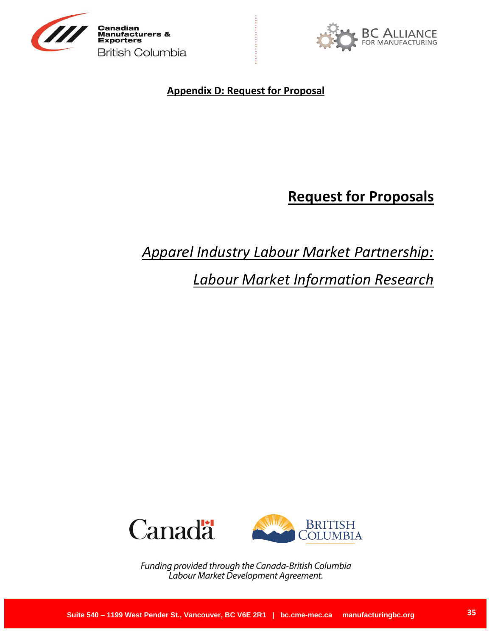



**Appendix D: Request for Proposal**

# **Request for Proposals**

# *Apparel Industry Labour Market Partnership:*

*Labour Market Information Research*



Funding provided through the Canada-British Columbia Labour Market Development Agreement.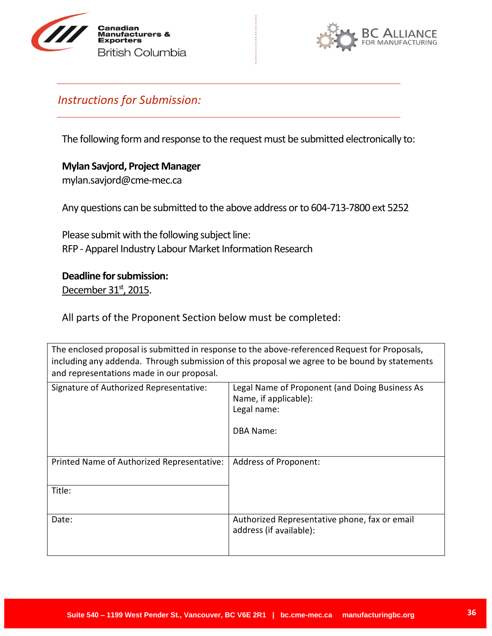



# <span id="page-35-0"></span>*Instructions for Submission:*

The following form and response to the request must be submitted electronically to:

# **Mylan Savjord, Project Manager** mylan.savjord@cme-mec.ca

Any questions can be submitted to the above address or to 604-713-7800 ext 5252

Please submit with the following subject line: RFP - Apparel Industry Labour Market Information Research

# **Deadline for submission:**

December 31<sup>st</sup>, 2015.

All parts of the Proponent Section below must be completed:

The enclosed proposal is submitted in response to the above-referenced Request for Proposals, including any addenda. Through submission of this proposal we agree to be bound by statements and representations made in our proposal.

| Signature of Authorized Representative:    | Legal Name of Proponent (and Doing Business As<br>Name, if applicable):<br>Legal name:<br>DBA Name: |
|--------------------------------------------|-----------------------------------------------------------------------------------------------------|
| Printed Name of Authorized Representative: | <b>Address of Proponent:</b>                                                                        |
|                                            |                                                                                                     |
| Title:                                     |                                                                                                     |
|                                            |                                                                                                     |
| Date:                                      | Authorized Representative phone, fax or email<br>address (if available):                            |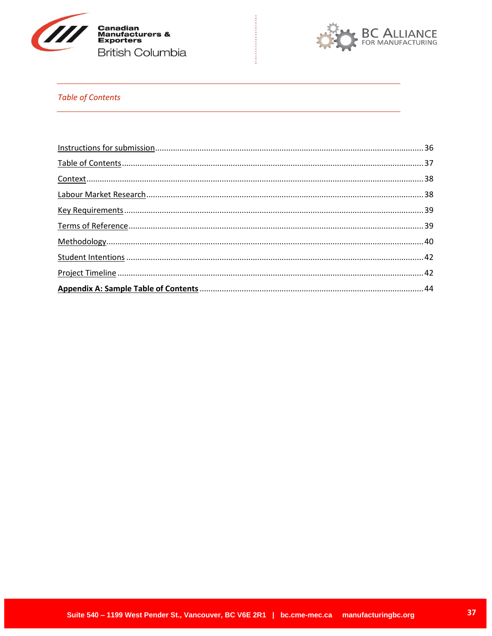



### <span id="page-36-0"></span>**Table of Contents**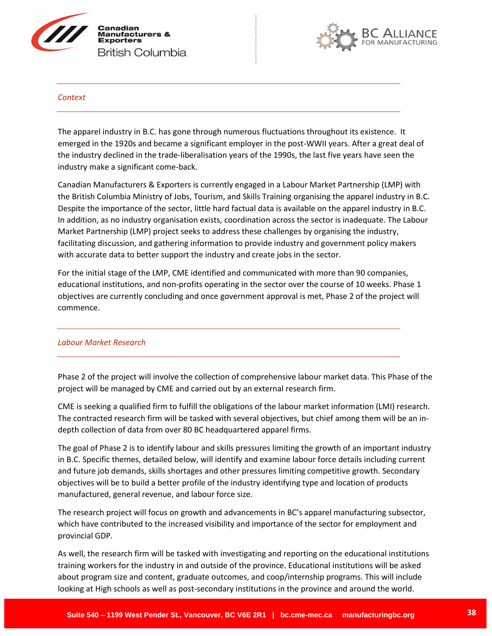



#### <span id="page-37-0"></span>*Context*

The apparel industry in B.C. has gone through numerous fluctuations throughout its existence. It emerged in the 1920s and became a significant employer in the post-WWII years. After a great deal of the industry declined in the trade-liberalisation years of the 1990s, the last five years have seen the industry make a significant come-back.

Canadian Manufacturers & Exporters is currently engaged in a Labour Market Partnership (LMP) with the British Columbia Ministry of Jobs, Tourism, and Skills Training organising the apparel industry in B.C. Despite the importance of the sector, little hard factual data is available on the apparel industry in B.C. In addition, as no industry organisation exists, coordination across the sector is inadequate. The Labour Market Partnership (LMP) project seeks to address these challenges by organising the industry, facilitating discussion, and gathering information to provide industry and government policy makers with accurate data to better support the industry and create jobs in the sector.

For the initial stage of the LMP, CME identified and communicated with more than 90 companies, educational institutions, and non-profits operating in the sector over the course of 10 weeks. Phase 1 objectives are currently concluding and once government approval is met, Phase 2 of the project will commence.

### <span id="page-37-1"></span>*Labour Market Research*

Phase 2 of the project will involve the collection of comprehensive labour market data. This Phase of the project will be managed by CME and carried out by an external research firm.

CME is seeking a qualified firm to fulfill the obligations of the labour market information (LMI) research. The contracted research firm will be tasked with several objectives, but chief among them will be an indepth collection of data from over 80 BC headquartered apparel firms.

The goal of Phase 2 is to identify labour and skills pressures limiting the growth of an important industry in B.C. Specific themes, detailed below, will identify and examine labour force details including current and future job demands, skills shortages and other pressures limiting competitive growth. Secondary objectives will be to build a better profile of the industry identifying type and location of products manufactured, general revenue, and labour force size.

The research project will focus on growth and advancements in BC's apparel manufacturing subsector, which have contributed to the increased visibility and importance of the sector for employment and provincial GDP.

As well, the research firm will be tasked with investigating and reporting on the educational institutions training workers for the industry in and outside of the province. Educational institutions will be asked about program size and content, graduate outcomes, and coop/internship programs. This will include looking at High schools as well as post-secondary institutions in the province and around the world.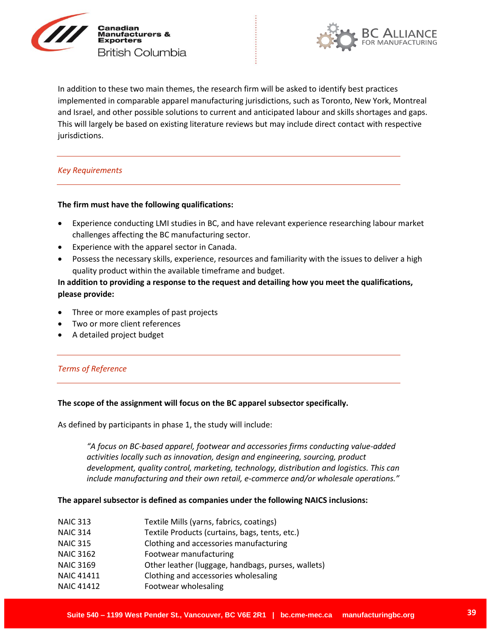



In addition to these two main themes, the research firm will be asked to identify best practices implemented in comparable apparel manufacturing jurisdictions, such as Toronto, New York, Montreal and Israel, and other possible solutions to current and anticipated labour and skills shortages and gaps. This will largely be based on existing literature reviews but may include direct contact with respective jurisdictions.

#### <span id="page-38-0"></span>*Key Requirements*

#### **The firm must have the following qualifications:**

- Experience conducting LMI studies in BC, and have relevant experience researching labour market challenges affecting the BC manufacturing sector.
- Experience with the apparel sector in Canada.
- Possess the necessary skills, experience, resources and familiarity with the issues to deliver a high quality product within the available timeframe and budget.

### **In addition to providing a response to the request and detailing how you meet the qualifications, please provide:**

- Three or more examples of past projects
- Two or more client references
- <span id="page-38-1"></span>A detailed project budget

### *Terms of Reference*

#### **The scope of the assignment will focus on the BC apparel subsector specifically.**

As defined by participants in phase 1, the study will include:

*"A focus on BC-based apparel, footwear and accessories firms conducting value-added activities locally such as innovation, design and engineering, sourcing, product development, quality control, marketing, technology, distribution and logistics. This can include manufacturing and their own retail, e-commerce and/or wholesale operations."* 

#### **The apparel subsector is defined as companies under the following NAICS inclusions:**

| Textile Mills (yarns, fabrics, coatings)           |
|----------------------------------------------------|
| Textile Products (curtains, bags, tents, etc.)     |
| Clothing and accessories manufacturing             |
| Footwear manufacturing                             |
| Other leather (luggage, handbags, purses, wallets) |
| Clothing and accessories wholesaling               |
| Footwear wholesaling                               |
|                                                    |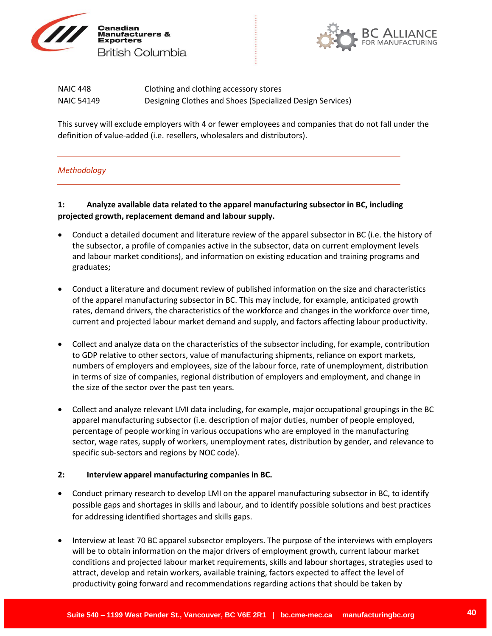



| <b>NAIC 448</b> | Clothing and clothing accessory stores                    |
|-----------------|-----------------------------------------------------------|
| NAIC 54149      | Designing Clothes and Shoes (Specialized Design Services) |

This survey will exclude employers with 4 or fewer employees and companies that do not fall under the definition of value-added (i.e. resellers, wholesalers and distributors).

### <span id="page-39-0"></span>*Methodology*

### **1: Analyze available data related to the apparel manufacturing subsector in BC, including projected growth, replacement demand and labour supply.**

- Conduct a detailed document and literature review of the apparel subsector in BC (i.e. the history of the subsector, a profile of companies active in the subsector, data on current employment levels and labour market conditions), and information on existing education and training programs and graduates;
- Conduct a literature and document review of published information on the size and characteristics of the apparel manufacturing subsector in BC. This may include, for example, anticipated growth rates, demand drivers, the characteristics of the workforce and changes in the workforce over time, current and projected labour market demand and supply, and factors affecting labour productivity.
- Collect and analyze data on the characteristics of the subsector including, for example, contribution to GDP relative to other sectors, value of manufacturing shipments, reliance on export markets, numbers of employers and employees, size of the labour force, rate of unemployment, distribution in terms of size of companies, regional distribution of employers and employment, and change in the size of the sector over the past ten years.
- Collect and analyze relevant LMI data including, for example, major occupational groupings in the BC apparel manufacturing subsector (i.e. description of major duties, number of people employed, percentage of people working in various occupations who are employed in the manufacturing sector, wage rates, supply of workers, unemployment rates, distribution by gender, and relevance to specific sub-sectors and regions by NOC code).

### **2: Interview apparel manufacturing companies in BC.**

- Conduct primary research to develop LMI on the apparel manufacturing subsector in BC, to identify possible gaps and shortages in skills and labour, and to identify possible solutions and best practices for addressing identified shortages and skills gaps.
- Interview at least 70 BC apparel subsector employers. The purpose of the interviews with employers will be to obtain information on the major drivers of employment growth, current labour market conditions and projected labour market requirements, skills and labour shortages, strategies used to attract, develop and retain workers, available training, factors expected to affect the level of productivity going forward and recommendations regarding actions that should be taken by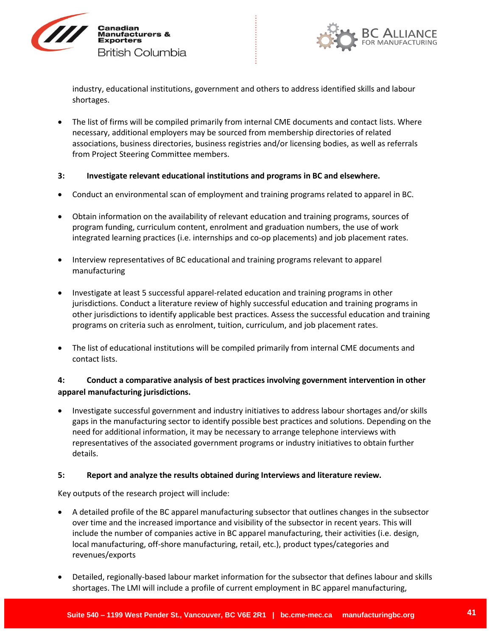



industry, educational institutions, government and others to address identified skills and labour shortages.

 The list of firms will be compiled primarily from internal CME documents and contact lists. Where necessary, additional employers may be sourced from membership directories of related associations, business directories, business registries and/or licensing bodies, as well as referrals from Project Steering Committee members.

#### **3: Investigate relevant educational institutions and programs in BC and elsewhere.**

- Conduct an environmental scan of employment and training programs related to apparel in BC.
- Obtain information on the availability of relevant education and training programs, sources of program funding, curriculum content, enrolment and graduation numbers, the use of work integrated learning practices (i.e. internships and co-op placements) and job placement rates.
- Interview representatives of BC educational and training programs relevant to apparel manufacturing
- Investigate at least 5 successful apparel-related education and training programs in other jurisdictions. Conduct a literature review of highly successful education and training programs in other jurisdictions to identify applicable best practices. Assess the successful education and training programs on criteria such as enrolment, tuition, curriculum, and job placement rates.
- The list of educational institutions will be compiled primarily from internal CME documents and contact lists.

### **4: Conduct a comparative analysis of best practices involving government intervention in other apparel manufacturing jurisdictions.**

 Investigate successful government and industry initiatives to address labour shortages and/or skills gaps in the manufacturing sector to identify possible best practices and solutions. Depending on the need for additional information, it may be necessary to arrange telephone interviews with representatives of the associated government programs or industry initiatives to obtain further details.

### **5: Report and analyze the results obtained during Interviews and literature review.**

Key outputs of the research project will include:

- A detailed profile of the BC apparel manufacturing subsector that outlines changes in the subsector over time and the increased importance and visibility of the subsector in recent years. This will include the number of companies active in BC apparel manufacturing, their activities (i.e. design, local manufacturing, off-shore manufacturing, retail, etc.), product types/categories and revenues/exports
- Detailed, regionally-based labour market information for the subsector that defines labour and skills shortages. The LMI will include a profile of current employment in BC apparel manufacturing,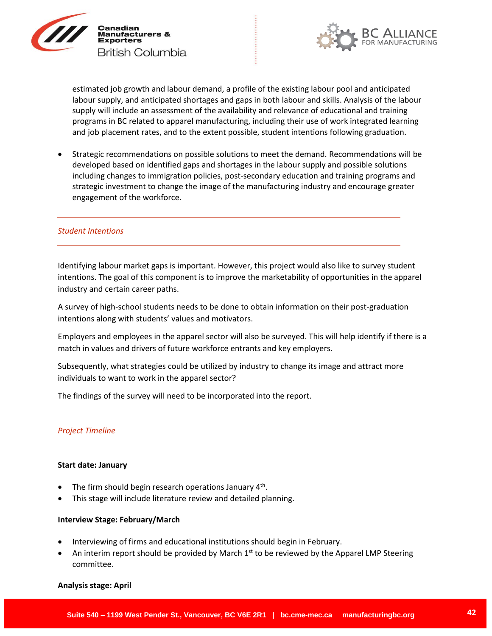



estimated job growth and labour demand, a profile of the existing labour pool and anticipated labour supply, and anticipated shortages and gaps in both labour and skills. Analysis of the labour supply will include an assessment of the availability and relevance of educational and training programs in BC related to apparel manufacturing, including their use of work integrated learning and job placement rates, and to the extent possible, student intentions following graduation.

 Strategic recommendations on possible solutions to meet the demand. Recommendations will be developed based on identified gaps and shortages in the labour supply and possible solutions including changes to immigration policies, post-secondary education and training programs and strategic investment to change the image of the manufacturing industry and encourage greater engagement of the workforce.

#### <span id="page-41-0"></span>*Student Intentions*

Identifying labour market gaps is important. However, this project would also like to survey student intentions. The goal of this component is to improve the marketability of opportunities in the apparel industry and certain career paths.

A survey of high-school students needs to be done to obtain information on their post-graduation intentions along with students' values and motivators.

Employers and employees in the apparel sector will also be surveyed. This will help identify if there is a match in values and drivers of future workforce entrants and key employers.

Subsequently, what strategies could be utilized by industry to change its image and attract more individuals to want to work in the apparel sector?

<span id="page-41-1"></span>The findings of the survey will need to be incorporated into the report.

#### *Project Timeline*

#### **Start date: January**

- The firm should begin research operations January  $4<sup>th</sup>$ .
- This stage will include literature review and detailed planning.

#### **Interview Stage: February/March**

- Interviewing of firms and educational institutions should begin in February.
- An interim report should be provided by March  $1<sup>st</sup>$  to be reviewed by the Apparel LMP Steering committee.

#### **Analysis stage: April**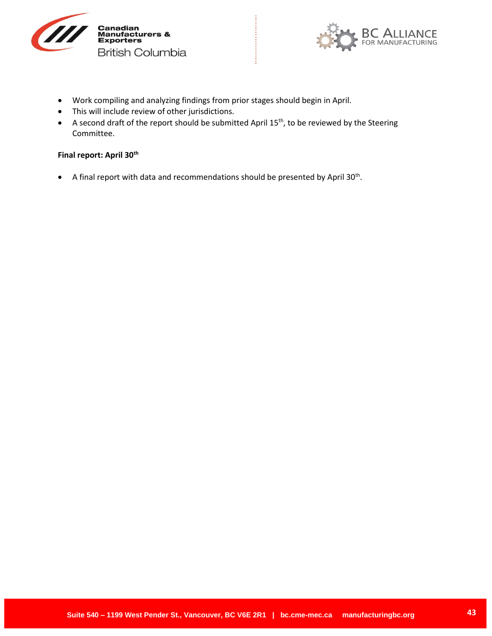



- Work compiling and analyzing findings from prior stages should begin in April.
- This will include review of other jurisdictions.
- A second draft of the report should be submitted April 15th, to be reviewed by the Steering Committee.

### **Final report: April 30th**

 $\bullet$  A final report with data and recommendations should be presented by April 30<sup>th</sup>.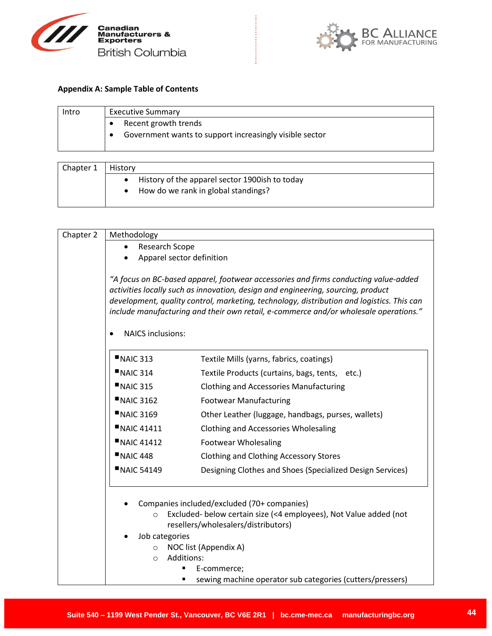



#### <span id="page-43-0"></span>**Appendix A: Sample Table of Contents**

| Intro | <b>Executive Summary</b>                                |
|-------|---------------------------------------------------------|
|       | Recent growth trends                                    |
|       | Government wants to support increasingly visible sector |
|       |                                                         |
|       |                                                         |

| Chapter 1 | History                                          |
|-----------|--------------------------------------------------|
|           | • History of the apparel sector 1900ish to today |
|           | • How do we rank in global standings?            |

| Chapter 2 | Methodology                          |                                                                                                                                                                                                                                                                                                                                                              |
|-----------|--------------------------------------|--------------------------------------------------------------------------------------------------------------------------------------------------------------------------------------------------------------------------------------------------------------------------------------------------------------------------------------------------------------|
|           | Research Scope                       |                                                                                                                                                                                                                                                                                                                                                              |
|           | Apparel sector definition            |                                                                                                                                                                                                                                                                                                                                                              |
|           |                                      | "A focus on BC-based apparel, footwear accessories and firms conducting value-added<br>activities locally such as innovation, design and engineering, sourcing, product<br>development, quality control, marketing, technology, distribution and logistics. This can<br>include manufacturing and their own retail, e-commerce and/or wholesale operations." |
|           | <b>NAICS inclusions:</b>             |                                                                                                                                                                                                                                                                                                                                                              |
|           | NAIC 313                             | Textile Mills (yarns, fabrics, coatings)                                                                                                                                                                                                                                                                                                                     |
|           | NAIC 314                             | Textile Products (curtains, bags, tents, etc.)                                                                                                                                                                                                                                                                                                               |
|           | NAIC 315                             | <b>Clothing and Accessories Manufacturing</b>                                                                                                                                                                                                                                                                                                                |
|           | <b>NAIC 3162</b>                     | <b>Footwear Manufacturing</b>                                                                                                                                                                                                                                                                                                                                |
|           | <b>NAIC 3169</b>                     | Other Leather (luggage, handbags, purses, wallets)                                                                                                                                                                                                                                                                                                           |
|           | <b>NAIC 41411</b>                    | <b>Clothing and Accessories Wholesaling</b>                                                                                                                                                                                                                                                                                                                  |
|           | <b>NAIC 41412</b>                    | <b>Footwear Wholesaling</b>                                                                                                                                                                                                                                                                                                                                  |
|           | N AIC 448                            | <b>Clothing and Clothing Accessory Stores</b>                                                                                                                                                                                                                                                                                                                |
|           | <b>NAIC 54149</b>                    | Designing Clothes and Shoes (Specialized Design Services)                                                                                                                                                                                                                                                                                                    |
|           | $\circ$<br>Job categories<br>$\circ$ | Companies included/excluded (70+ companies)<br>Excluded- below certain size (<4 employees), Not Value added (not<br>resellers/wholesalers/distributors)<br>NOC list (Appendix A)                                                                                                                                                                             |
|           | Additions:<br>$\bigcirc$             |                                                                                                                                                                                                                                                                                                                                                              |
|           |                                      | E-commerce;                                                                                                                                                                                                                                                                                                                                                  |
|           |                                      | sewing machine operator sub categories (cutters/pressers)                                                                                                                                                                                                                                                                                                    |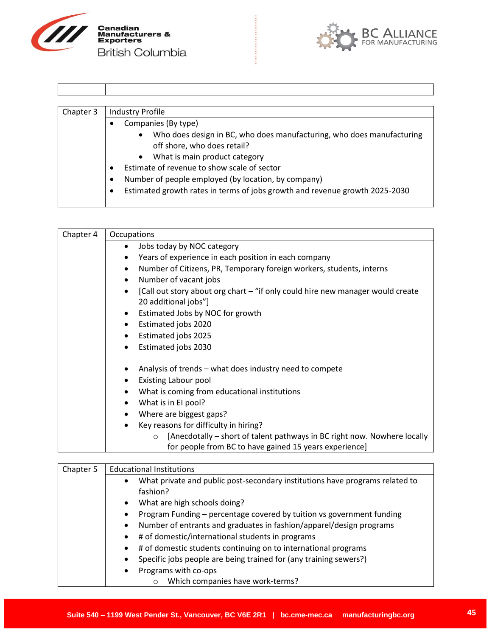



| Chapter 3 | <b>Industry Profile</b>                                                                                           |
|-----------|-------------------------------------------------------------------------------------------------------------------|
|           | Companies (By type)                                                                                               |
|           | Who does design in BC, who does manufacturing, who does manufacturing<br>$\bullet$<br>off shore, who does retail? |
|           | What is main product category<br>$\bullet$                                                                        |
|           | Estimate of revenue to show scale of sector                                                                       |
|           | Number of people employed (by location, by company)                                                               |
|           | Estimated growth rates in terms of jobs growth and revenue growth 2025-2030                                       |

| Chapter 4 | Occupations                                                                                 |
|-----------|---------------------------------------------------------------------------------------------|
|           | Jobs today by NOC category<br>٠                                                             |
|           | Years of experience in each position in each company<br>$\bullet$                           |
|           | Number of Citizens, PR, Temporary foreign workers, students, interns<br>$\bullet$           |
|           | Number of vacant jobs<br>$\bullet$                                                          |
|           | [Call out story about org chart – "if only could hire new manager would create<br>$\bullet$ |
|           | 20 additional jobs"]                                                                        |
|           | Estimated Jobs by NOC for growth<br>$\bullet$                                               |
|           | Estimated jobs 2020<br>$\bullet$                                                            |
|           | Estimated jobs 2025<br>٠                                                                    |
|           | Estimated jobs 2030<br>$\bullet$                                                            |
|           | Analysis of trends – what does industry need to compete<br>٠                                |
|           | <b>Existing Labour pool</b><br>٠                                                            |
|           | What is coming from educational institutions<br>٠                                           |
|           | What is in El pool?<br>$\bullet$                                                            |
|           | Where are biggest gaps?<br>$\bullet$                                                        |
|           | Key reasons for difficulty in hiring?<br>$\bullet$                                          |
|           | [Anecdotally – short of talent pathways in BC right now. Nowhere locally<br>$\circ$         |
|           | for people from BC to have gained 15 years experience]                                      |

| Chapter 5 | <b>Educational Institutions</b>                                                           |  |
|-----------|-------------------------------------------------------------------------------------------|--|
|           | What private and public post-secondary institutions have programs related to<br>$\bullet$ |  |
|           | fashion?                                                                                  |  |
|           | What are high schools doing?<br>$\bullet$                                                 |  |
|           | Program Funding - percentage covered by tuition vs government funding                     |  |
|           | Number of entrants and graduates in fashion/apparel/design programs<br>$\bullet$          |  |
|           | # of domestic/international students in programs<br>$\bullet$                             |  |
|           | # of domestic students continuing on to international programs<br>$\bullet$               |  |
|           | Specific jobs people are being trained for (any training sewers?)                         |  |
|           | Programs with co-ops<br>$\bullet$                                                         |  |
|           | Which companies have work-terms?<br>$\circ$                                               |  |